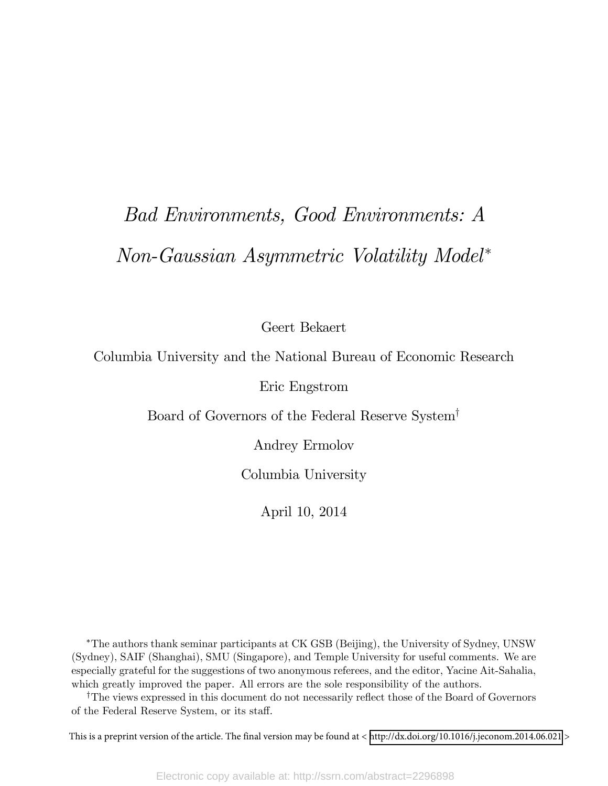# Bad Environments, Good Environments: A Non-Gaussian Asymmetric Volatility Model

Geert Bekaert

Columbia University and the National Bureau of Economic Research

Eric Engstrom

Board of Governors of the Federal Reserve System<sup>†</sup>

Andrey Ermolov

Columbia University

April 10, 2014

The authors thank seminar participants at CK GSB (Beijing), the University of Sydney, UNSW (Sydney), SAIF (Shanghai), SMU (Singapore), and Temple University for useful comments. We are especially grateful for the suggestions of two anonymous referees, and the editor, Yacine Ait-Sahalia, which greatly improved the paper. All errors are the sole responsibility of the authors.

<sup>†</sup>The views expressed in this document do not necessarily reflect those of the Board of Governors of the Federal Reserve System, or its staff.

This is a preprint version of the article. The final version may be found at < <http://dx.doi.org/10.1016/j.jeconom.2014.06.021> >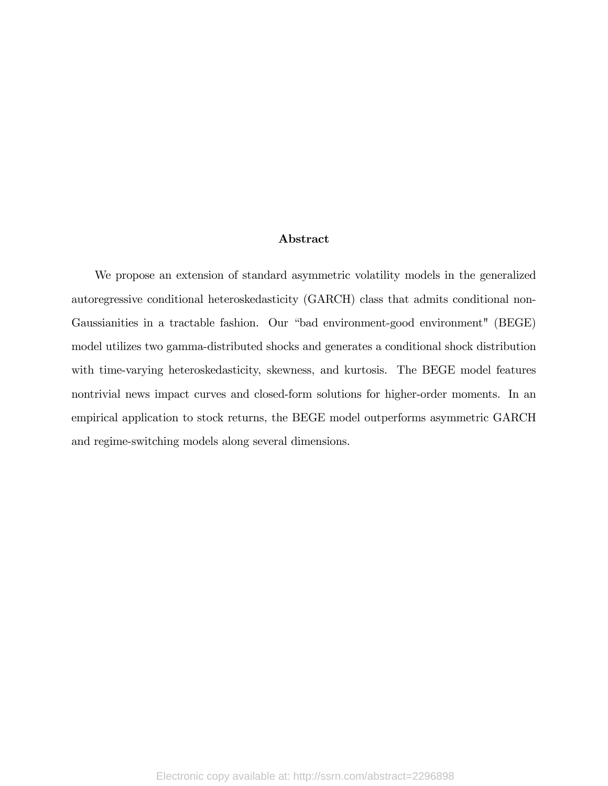#### Abstract

We propose an extension of standard asymmetric volatility models in the generalized autoregressive conditional heteroskedasticity (GARCH) class that admits conditional non-Gaussianities in a tractable fashion. Our "bad environment-good environment" (BEGE) model utilizes two gamma-distributed shocks and generates a conditional shock distribution with time-varying heteroskedasticity, skewness, and kurtosis. The BEGE model features nontrivial news impact curves and closed-form solutions for higher-order moments. In an empirical application to stock returns, the BEGE model outperforms asymmetric GARCH and regime-switching models along several dimensions.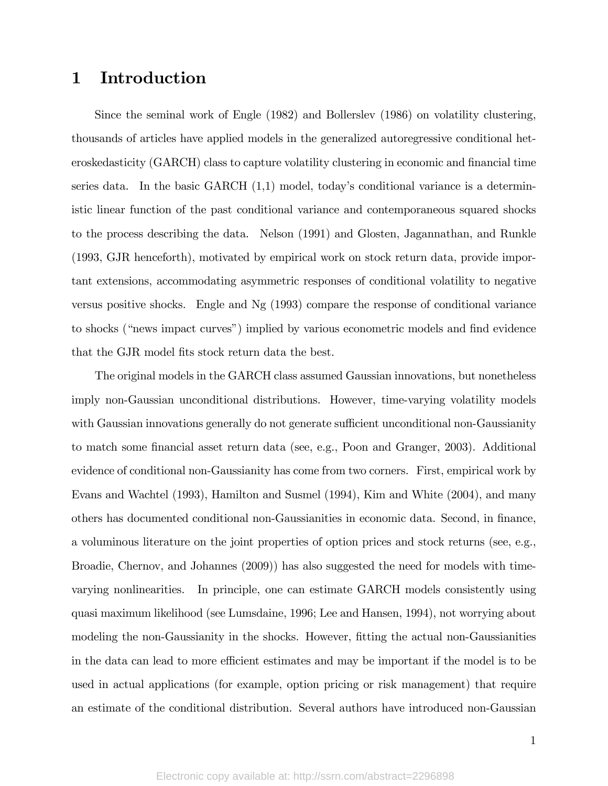### 1 Introduction

Since the seminal work of Engle (1982) and Bollerslev (1986) on volatility clustering, thousands of articles have applied models in the generalized autoregressive conditional heteroskedasticity (GARCH) class to capture volatility clustering in economic and financial time series data. In the basic GARCH  $(1,1)$  model, today's conditional variance is a deterministic linear function of the past conditional variance and contemporaneous squared shocks to the process describing the data. Nelson (1991) and Glosten, Jagannathan, and Runkle (1993, GJR henceforth), motivated by empirical work on stock return data, provide important extensions, accommodating asymmetric responses of conditional volatility to negative versus positive shocks. Engle and Ng (1993) compare the response of conditional variance to shocks ("news impact curves") implied by various econometric models and find evidence that the GJR model fits stock return data the best.

The original models in the GARCH class assumed Gaussian innovations, but nonetheless imply non-Gaussian unconditional distributions. However, time-varying volatility models with Gaussian innovations generally do not generate sufficient unconditional non-Gaussianity to match some financial asset return data (see, e.g., Poon and Granger, 2003). Additional evidence of conditional non-Gaussianity has come from two corners. First, empirical work by Evans and Wachtel (1993), Hamilton and Susmel (1994), Kim and White (2004), and many others has documented conditional non-Gaussianities in economic data. Second, in Önance, a voluminous literature on the joint properties of option prices and stock returns (see, e.g., Broadie, Chernov, and Johannes (2009)) has also suggested the need for models with timevarying nonlinearities. In principle, one can estimate GARCH models consistently using quasi maximum likelihood (see Lumsdaine, 1996; Lee and Hansen, 1994), not worrying about modeling the non-Gaussianity in the shocks. However, fitting the actual non-Gaussianities in the data can lead to more efficient estimates and may be important if the model is to be used in actual applications (for example, option pricing or risk management) that require an estimate of the conditional distribution. Several authors have introduced non-Gaussian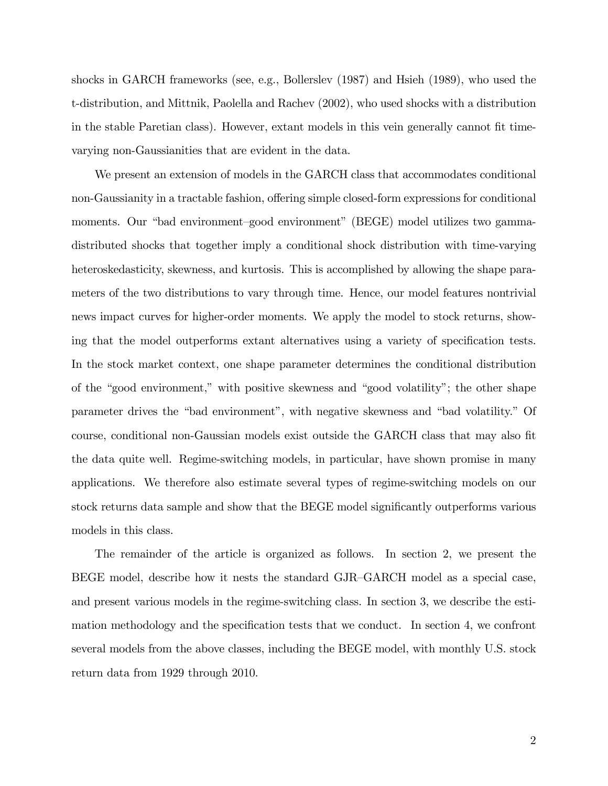shocks in GARCH frameworks (see, e.g., Bollerslev (1987) and Hsieh (1989), who used the t-distribution, and Mittnik, Paolella and Rachev (2002), who used shocks with a distribution in the stable Paretian class). However, extant models in this vein generally cannot fit timevarying non-Gaussianities that are evident in the data.

We present an extension of models in the GARCH class that accommodates conditional non-Gaussianity in a tractable fashion, offering simple closed-form expressions for conditional moments. Our "bad environment-good environment" (BEGE) model utilizes two gammadistributed shocks that together imply a conditional shock distribution with time-varying heteroskedasticity, skewness, and kurtosis. This is accomplished by allowing the shape parameters of the two distributions to vary through time. Hence, our model features nontrivial news impact curves for higher-order moments. We apply the model to stock returns, showing that the model outperforms extant alternatives using a variety of specification tests. In the stock market context, one shape parameter determines the conditional distribution of the "good environment," with positive skewness and "good volatility"; the other shape parameter drives the "bad environment", with negative skewness and "bad volatility." Of course, conditional non-Gaussian models exist outside the GARCH class that may also Öt the data quite well. Regime-switching models, in particular, have shown promise in many applications. We therefore also estimate several types of regime-switching models on our stock returns data sample and show that the BEGE model significantly outperforms various models in this class.

The remainder of the article is organized as follows. In section 2, we present the BEGE model, describe how it nests the standard GJR-GARCH model as a special case, and present various models in the regime-switching class. In section 3, we describe the estimation methodology and the specification tests that we conduct. In section 4, we confront several models from the above classes, including the BEGE model, with monthly U.S. stock return data from 1929 through 2010.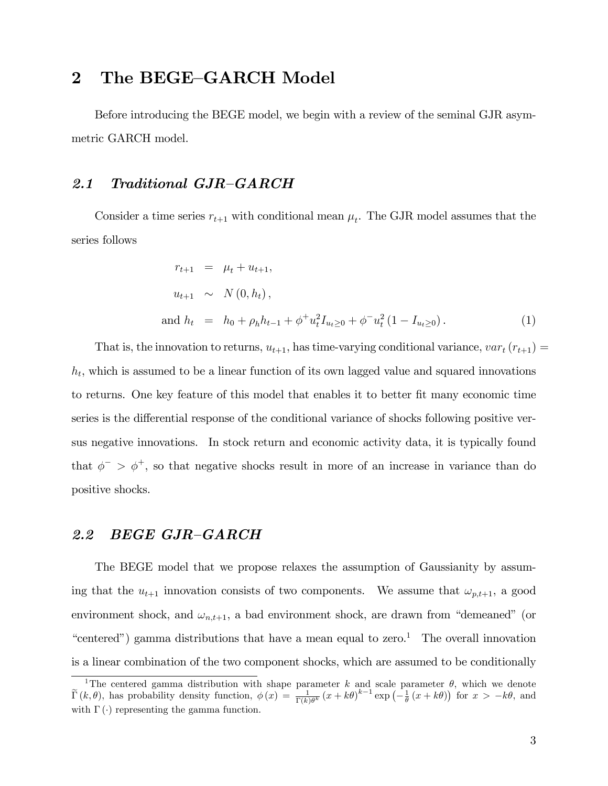### 2 The BEGE-GARCH Model

Before introducing the BEGE model, we begin with a review of the seminal GJR asymmetric GARCH model.

#### 2.1 Traditional  $GJR-GARCH$

Consider a time series  $r_{t+1}$  with conditional mean  $\mu_t$ . The GJR model assumes that the series follows

$$
r_{t+1} = \mu_t + u_{t+1},
$$
  
\n
$$
u_{t+1} \sim N(0, h_t),
$$
  
\nand 
$$
h_t = h_0 + \rho_h h_{t-1} + \phi^+ u_t^2 I_{u_t \ge 0} + \phi^- u_t^2 (1 - I_{u_t \ge 0}).
$$
 (1)

That is, the innovation to returns,  $u_{t+1}$ , has time-varying conditional variance,  $var_t(r_{t+1}) =$  $h_t$ , which is assumed to be a linear function of its own lagged value and squared innovations to returns. One key feature of this model that enables it to better Öt many economic time series is the differential response of the conditional variance of shocks following positive versus negative innovations. In stock return and economic activity data, it is typically found that  $\phi^{-} > \phi^{+}$ , so that negative shocks result in more of an increase in variance than do positive shocks.

#### 2.2 BEGE GJR-GARCH

The BEGE model that we propose relaxes the assumption of Gaussianity by assuming that the  $u_{t+1}$  innovation consists of two components. We assume that  $\omega_{p,t+1}$ , a good environment shock, and  $\omega_{n,t+1}$ , a bad environment shock, are drawn from "demeaned" (or "centered") gamma distributions that have a mean equal to zero.<sup>1</sup> The overall innovation is a linear combination of the two component shocks, which are assumed to be conditionally

<sup>&</sup>lt;sup>1</sup>The centered gamma distribution with shape parameter k and scale parameter  $\theta$ , which we denote  $\widetilde{\Gamma}(k,\theta)$ , has probability density function,  $\phi(x) = \frac{1}{\Gamma(k)\theta^k}(x+k\theta)^{k-1}\exp\left(-\frac{1}{\theta}(x+k\theta)\right)$  for  $x > -k\theta$ , and with  $\Gamma(\cdot)$  representing the gamma function.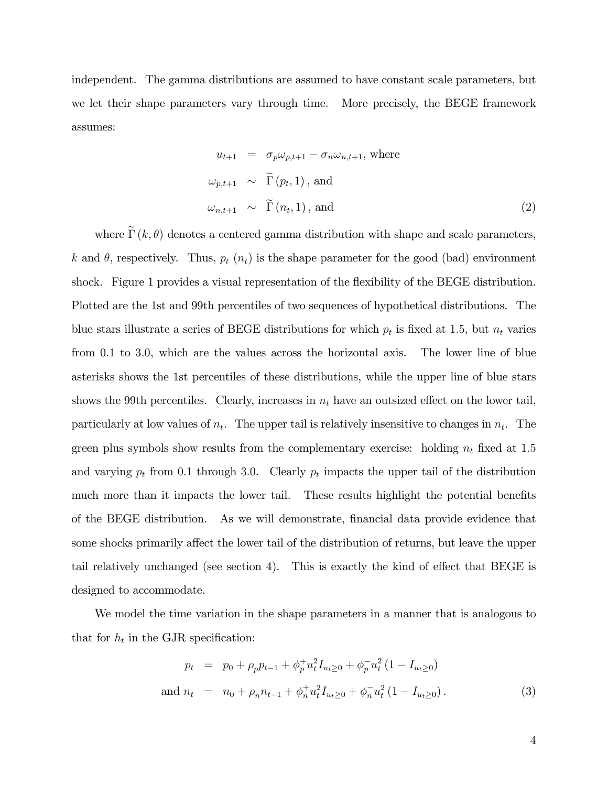independent. The gamma distributions are assumed to have constant scale parameters, but we let their shape parameters vary through time. More precisely, the BEGE framework assumes:

$$
u_{t+1} = \sigma_p \omega_{p,t+1} - \sigma_n \omega_{n,t+1}, \text{ where}
$$
  
\n
$$
\omega_{p,t+1} \sim \widetilde{\Gamma}(p_t, 1), \text{ and}
$$
  
\n
$$
\omega_{n,t+1} \sim \widetilde{\Gamma}(n_t, 1), \text{ and}
$$
 (2)

where  $\tilde{\Gamma}(k, \theta)$  denotes a centered gamma distribution with shape and scale parameters, k and  $\theta$ , respectively. Thus,  $p_t(n_t)$  is the shape parameter for the good (bad) environment shock. Figure 1 provides a visual representation of the flexibility of the BEGE distribution. Plotted are the 1st and 99th percentiles of two sequences of hypothetical distributions. The blue stars illustrate a series of BEGE distributions for which  $p_t$  is fixed at 1.5, but  $n_t$  varies from 0.1 to 3.0, which are the values across the horizontal axis. The lower line of blue asterisks shows the 1st percentiles of these distributions, while the upper line of blue stars shows the 99th percentiles. Clearly, increases in  $n_t$  have an outsized effect on the lower tail, particularly at low values of  $n_t$ . The upper tail is relatively insensitive to changes in  $n_t$ . The green plus symbols show results from the complementary exercise: holding  $n_t$  fixed at 1.5 and varying  $p_t$  from 0.1 through 3.0. Clearly  $p_t$  impacts the upper tail of the distribution much more than it impacts the lower tail. These results highlight the potential benefits of the BEGE distribution. As we will demonstrate, Önancial data provide evidence that some shocks primarily affect the lower tail of the distribution of returns, but leave the upper tail relatively unchanged (see section 4). This is exactly the kind of effect that BEGE is designed to accommodate.

We model the time variation in the shape parameters in a manner that is analogous to that for  $h_t$  in the GJR specification:

$$
p_t = p_0 + \rho_p p_{t-1} + \phi_p^+ u_t^2 I_{u_t \ge 0} + \phi_p^- u_t^2 (1 - I_{u_t \ge 0})
$$
  
and 
$$
n_t = n_0 + \rho_n n_{t-1} + \phi_n^+ u_t^2 I_{u_t \ge 0} + \phi_n^- u_t^2 (1 - I_{u_t \ge 0}).
$$
 (3)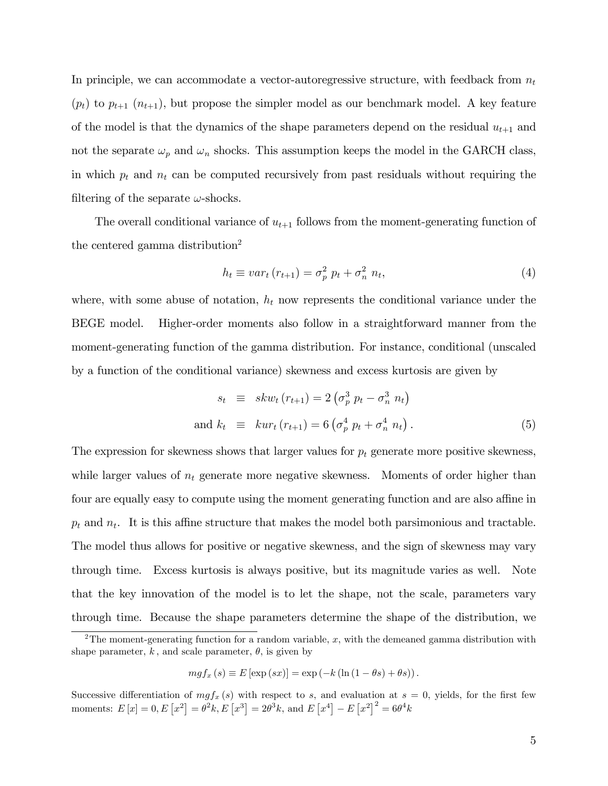In principle, we can accommodate a vector-autoregressive structure, with feedback from  $n_t$  $(p_t)$  to  $p_{t+1}$   $(n_{t+1})$ , but propose the simpler model as our benchmark model. A key feature of the model is that the dynamics of the shape parameters depend on the residual  $u_{t+1}$  and not the separate  $\omega_p$  and  $\omega_n$  shocks. This assumption keeps the model in the GARCH class, in which  $p_t$  and  $n_t$  can be computed recursively from past residuals without requiring the filtering of the separate  $\omega$ -shocks.

The overall conditional variance of  $u_{t+1}$  follows from the moment-generating function of the centered gamma distribution<sup>2</sup>

$$
h_t \equiv var_t \left( r_{t+1} \right) = \sigma_p^2 \ p_t + \sigma_n^2 \ n_t,\tag{4}
$$

where, with some abuse of notation,  $h_t$  now represents the conditional variance under the BEGE model. Higher-order moments also follow in a straightforward manner from the moment-generating function of the gamma distribution. For instance, conditional (unscaled by a function of the conditional variance) skewness and excess kurtosis are given by

$$
s_t \equiv skw_t (r_{t+1}) = 2 (\sigma_p^3 p_t - \sigma_n^3 n_t)
$$
  
and 
$$
k_t \equiv kur_t (r_{t+1}) = 6 (\sigma_p^4 p_t + \sigma_n^4 n_t).
$$
 (5)

The expression for skewness shows that larger values for  $p_t$  generate more positive skewness, while larger values of  $n_t$  generate more negative skewness. Moments of order higher than four are equally easy to compute using the moment generating function and are also affine in  $p_t$  and  $n_t$ . It is this affine structure that makes the model both parsimonious and tractable. The model thus allows for positive or negative skewness, and the sign of skewness may vary through time. Excess kurtosis is always positive, but its magnitude varies as well. Note that the key innovation of the model is to let the shape, not the scale, parameters vary through time. Because the shape parameters determine the shape of the distribution, we

$$
mgf_x(s) \equiv E\left[\exp(sx)\right] = \exp(-k\left(\ln\left(1-\theta s\right)+\theta s\right)).
$$

Successive differentiation of  $mgf_x(s)$  with respect to s, and evaluation at  $s = 0$ , yields, for the first few moments:  $E[x] = 0, E[x^2] = \theta^2 k, E[x^3] = 2\theta^3 k$ , and  $E[x^4] - E[x^2] = 6\theta^4 k$ 

<sup>&</sup>lt;sup>2</sup>The moment-generating function for a random variable, x, with the demeaned gamma distribution with shape parameter, k, and scale parameter,  $\theta$ , is given by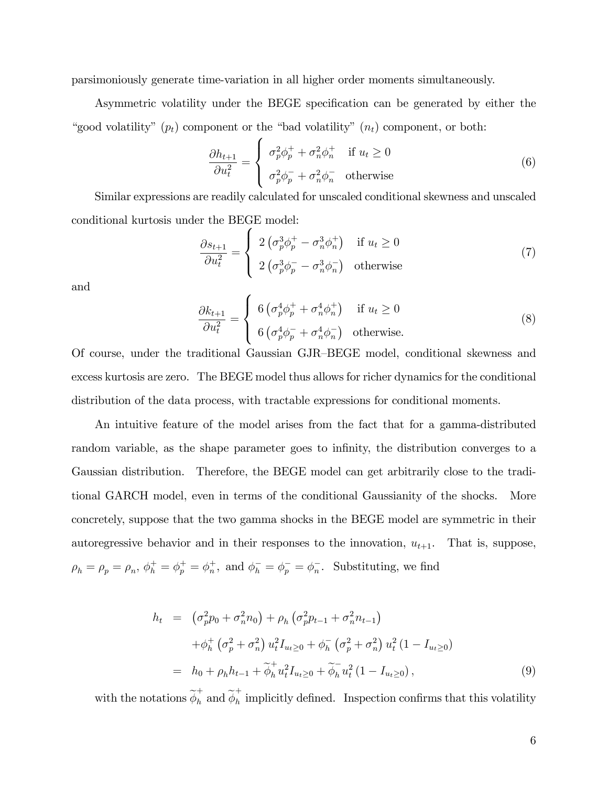parsimoniously generate time-variation in all higher order moments simultaneously.

Asymmetric volatility under the BEGE specification can be generated by either the "good volatility"  $(p_t)$  component or the "bad volatility"  $(n_t)$  component, or both:

$$
\frac{\partial h_{t+1}}{\partial u_t^2} = \begin{cases} \sigma_p^2 \phi_p^+ + \sigma_n^2 \phi_n^+ & \text{if } u_t \ge 0\\ \sigma_p^2 \phi_p^- + \sigma_n^2 \phi_n^- & \text{otherwise} \end{cases}
$$
 (6)

Similar expressions are readily calculated for unscaled conditional skewness and unscaled conditional kurtosis under the BEGE model:

$$
\frac{\partial s_{t+1}}{\partial u_t^2} = \begin{cases} 2\left(\sigma_p^3 \phi_p^+ - \sigma_n^3 \phi_n^+\right) & \text{if } u_t \ge 0\\ 2\left(\sigma_p^3 \phi_p^- - \sigma_n^3 \phi_n^-\right) & \text{otherwise} \end{cases}
$$
(7)

and

$$
\frac{\partial k_{t+1}}{\partial u_t^2} = \begin{cases} 6\left(\sigma_p^4 \phi_p^+ + \sigma_n^4 \phi_n^+\right) & \text{if } u_t \ge 0\\ 6\left(\sigma_p^4 \phi_p^- + \sigma_n^4 \phi_n^-\right) & \text{otherwise.} \end{cases}
$$
\n(8)

Of course, under the traditional Gaussian GJR-BEGE model, conditional skewness and excess kurtosis are zero. The BEGE model thus allows for richer dynamics for the conditional distribution of the data process, with tractable expressions for conditional moments.

An intuitive feature of the model arises from the fact that for a gamma-distributed random variable, as the shape parameter goes to infinity, the distribution converges to a Gaussian distribution. Therefore, the BEGE model can get arbitrarily close to the traditional GARCH model, even in terms of the conditional Gaussianity of the shocks. More concretely, suppose that the two gamma shocks in the BEGE model are symmetric in their autoregressive behavior and in their responses to the innovation,  $u_{t+1}$ . That is, suppose,  $\rho_h = \rho_p = \rho_n, \, \phi_h^+ = \phi_p^+ = \phi_n^+$ <sup>+</sup><sub>n</sub>, and  $\phi_h^- = \phi_p^- = \phi_n^-$ . Substituting, we find

$$
h_t = \left(\sigma_p^2 p_0 + \sigma_n^2 n_0\right) + \rho_h \left(\sigma_p^2 p_{t-1} + \sigma_n^2 n_{t-1}\right)
$$
  
+  $\phi_h^+ \left(\sigma_p^2 + \sigma_n^2\right) u_t^2 I_{u_t \geq 0} + \phi_h^- \left(\sigma_p^2 + \sigma_n^2\right) u_t^2 \left(1 - I_{u_t \geq 0}\right)$   
=  $h_0 + \rho_h h_{t-1} + \widetilde{\phi}_h^+ u_t^2 I_{u_t \geq 0} + \widetilde{\phi}_h^- u_t^2 \left(1 - I_{u_t \geq 0}\right),$  (9)

with the notations  $\widetilde{\phi}_h^+$  and  $\widetilde{\phi}_h^+$  $h$  implicitly defined. Inspection confirms that this volatility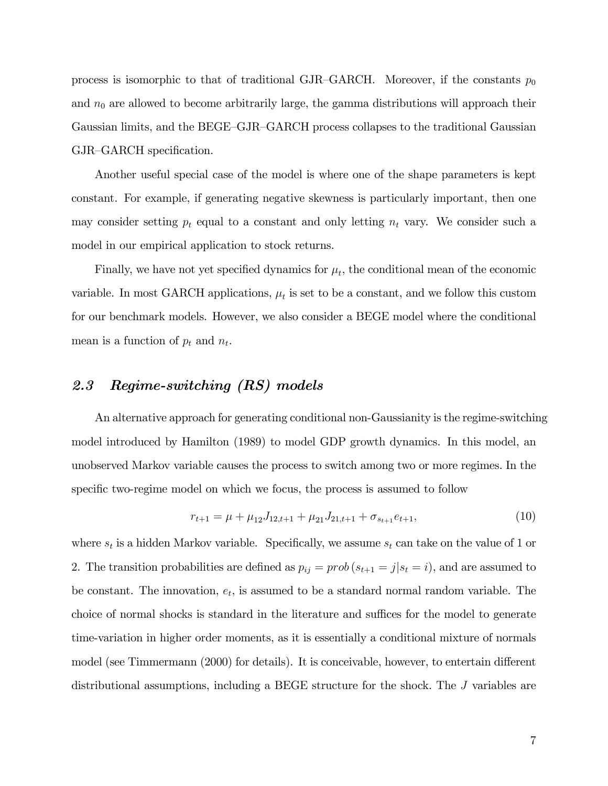process is isomorphic to that of traditional GJR-GARCH. Moreover, if the constants  $p_0$ and  $n_0$  are allowed to become arbitrarily large, the gamma distributions will approach their Gaussian limits, and the BEGE–GJR–GARCH process collapses to the traditional Gaussian GJR-GARCH specification.

Another useful special case of the model is where one of the shape parameters is kept constant. For example, if generating negative skewness is particularly important, then one may consider setting  $p_t$  equal to a constant and only letting  $n_t$  vary. We consider such a model in our empirical application to stock returns.

Finally, we have not yet specified dynamics for  $\mu_t$ , the conditional mean of the economic variable. In most GARCH applications,  $\mu_t$  is set to be a constant, and we follow this custom for our benchmark models. However, we also consider a BEGE model where the conditional mean is a function of  $p_t$  and  $n_t$ .

### 2.3 Regime-switching (RS) models

An alternative approach for generating conditional non-Gaussianity is the regime-switching model introduced by Hamilton (1989) to model GDP growth dynamics. In this model, an unobserved Markov variable causes the process to switch among two or more regimes. In the specific two-regime model on which we focus, the process is assumed to follow

$$
r_{t+1} = \mu + \mu_{12} J_{12,t+1} + \mu_{21} J_{21,t+1} + \sigma_{s_{t+1}} e_{t+1},
$$
\n(10)

where  $s_t$  is a hidden Markov variable. Specifically, we assume  $s_t$  can take on the value of 1 or 2. The transition probabilities are defined as  $p_{ij} = prob(s_{t+1} = j | s_t = i)$ , and are assumed to be constant. The innovation,  $e_t$ , is assumed to be a standard normal random variable. The choice of normal shocks is standard in the literature and suffices for the model to generate time-variation in higher order moments, as it is essentially a conditional mixture of normals model (see Timmermann (2000) for details). It is conceivable, however, to entertain different distributional assumptions, including a BEGE structure for the shock. The J variables are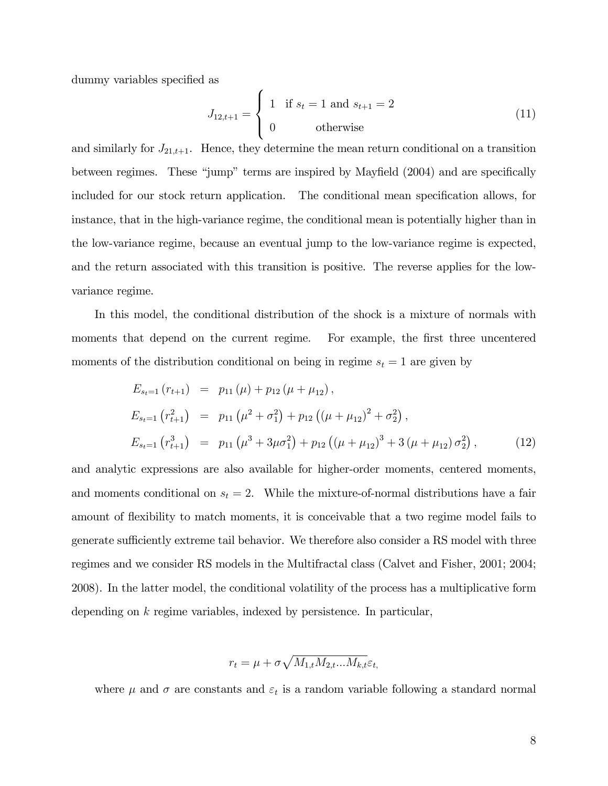dummy variables specified as

$$
J_{12,t+1} = \begin{cases} 1 & \text{if } s_t = 1 \text{ and } s_{t+1} = 2 \\ 0 & \text{otherwise} \end{cases}
$$
 (11)

and similarly for  $J_{21,t+1}$ . Hence, they determine the mean return conditional on a transition between regimes. These "jump" terms are inspired by Mayfield  $(2004)$  and are specifically included for our stock return application. The conditional mean specification allows, for instance, that in the high-variance regime, the conditional mean is potentially higher than in the low-variance regime, because an eventual jump to the low-variance regime is expected, and the return associated with this transition is positive. The reverse applies for the lowvariance regime.

In this model, the conditional distribution of the shock is a mixture of normals with moments that depend on the current regime. For example, the first three uncentered moments of the distribution conditional on being in regime  $s_t = 1$  are given by

$$
E_{s_t=1} (r_{t+1}) = p_{11} (\mu) + p_{12} (\mu + \mu_{12}),
$$
  
\n
$$
E_{s_t=1} (r_{t+1}^2) = p_{11} (\mu^2 + \sigma_1^2) + p_{12} ((\mu + \mu_{12})^2 + \sigma_2^2),
$$
  
\n
$$
E_{s_t=1} (r_{t+1}^3) = p_{11} (\mu^3 + 3\mu\sigma_1^2) + p_{12} ((\mu + \mu_{12})^3 + 3(\mu + \mu_{12})\sigma_2^2),
$$
\n(12)

and analytic expressions are also available for higher-order moments, centered moments, and moments conditional on  $s_t = 2$ . While the mixture-of-normal distributions have a fair amount of flexibility to match moments, it is conceivable that a two regime model fails to generate sufficiently extreme tail behavior. We therefore also consider a RS model with three regimes and we consider RS models in the Multifractal class (Calvet and Fisher, 2001; 2004; 2008). In the latter model, the conditional volatility of the process has a multiplicative form depending on k regime variables, indexed by persistence. In particular,

$$
r_t = \mu + \sigma \sqrt{M_{1,t} M_{2,t} ... M_{k,t}} \varepsilon_t
$$

where  $\mu$  and  $\sigma$  are constants and  $\varepsilon_t$  is a random variable following a standard normal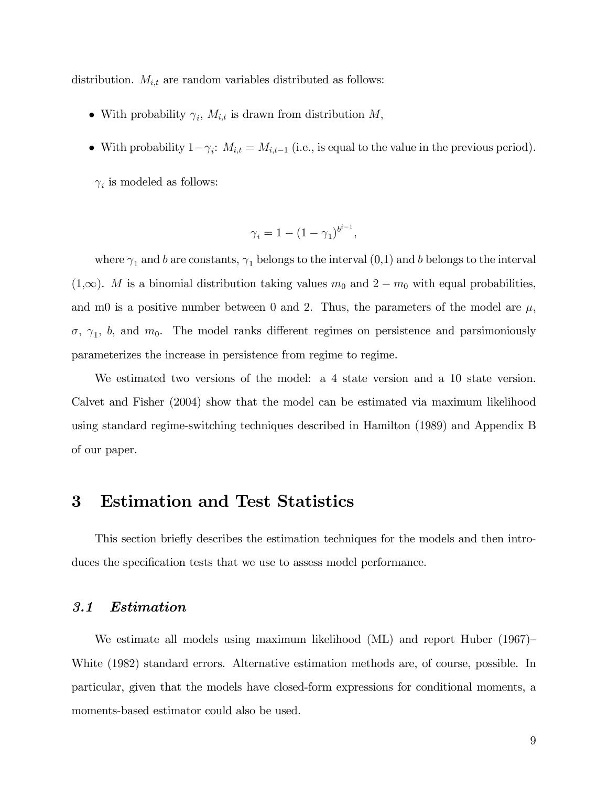distribution.  $M_{i,t}$  are random variables distributed as follows:

- With probability  $\gamma_i$ ,  $M_{i,t}$  is drawn from distribution  $M$ ,
- With probability  $1-\gamma_i$ :  $M_{i,t} = M_{i,t-1}$  (i.e., is equal to the value in the previous period).

 $\gamma_i$  is modeled as follows:

$$
\gamma_i = 1 - \left(1 - \gamma_1\right)^{b^{i-1}},
$$

where  $\gamma_1$  and b are constants,  $\gamma_1$  belongs to the interval  $(0,1)$  and b belongs to the interval  $(1,\infty)$ . M is a binomial distribution taking values  $m_0$  and  $2 - m_0$  with equal probabilities, and m0 is a positive number between 0 and 2. Thus, the parameters of the model are  $\mu$ ,  $\sigma$ ,  $\gamma_1$ , b, and  $m_0$ . The model ranks different regimes on persistence and parsimoniously parameterizes the increase in persistence from regime to regime.

We estimated two versions of the model: a 4 state version and a 10 state version. Calvet and Fisher (2004) show that the model can be estimated via maximum likelihood using standard regime-switching techniques described in Hamilton (1989) and Appendix B of our paper.

### 3 Estimation and Test Statistics

This section brieáy describes the estimation techniques for the models and then introduces the specification tests that we use to assess model performance.

#### 3.1 Estimation

We estimate all models using maximum likelihood  $(ML)$  and report Huber  $(1967)$ White (1982) standard errors. Alternative estimation methods are, of course, possible. In particular, given that the models have closed-form expressions for conditional moments, a moments-based estimator could also be used.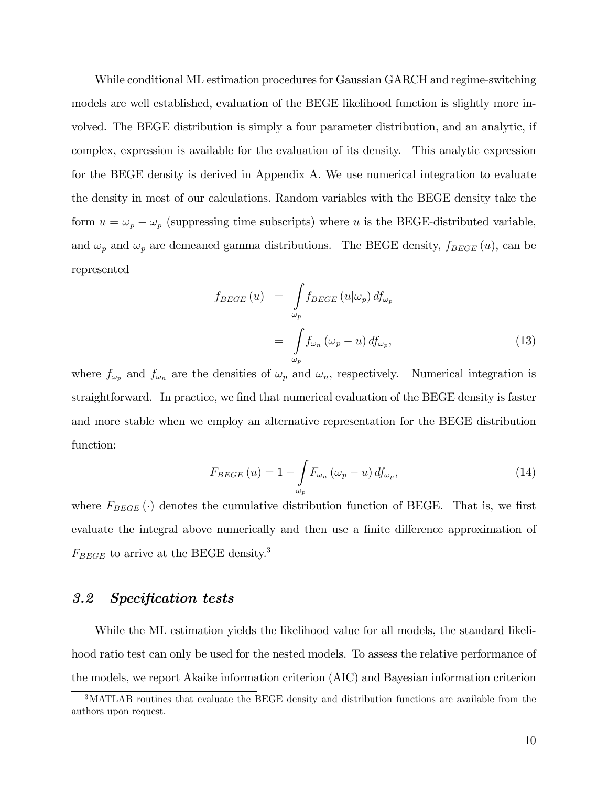While conditional ML estimation procedures for Gaussian GARCH and regime-switching models are well established, evaluation of the BEGE likelihood function is slightly more involved. The BEGE distribution is simply a four parameter distribution, and an analytic, if complex, expression is available for the evaluation of its density. This analytic expression for the BEGE density is derived in Appendix A. We use numerical integration to evaluate the density in most of our calculations. Random variables with the BEGE density take the form  $u = \omega_p - \omega_p$  (suppressing time subscripts) where u is the BEGE-distributed variable, and  $\omega_p$  and  $\omega_p$  are demeaned gamma distributions. The BEGE density,  $f_{BEGE}(u)$ , can be represented

$$
f_{BEGE}(u) = \int_{\omega_p} f_{BEGE}(u|\omega_p) df_{\omega_p}
$$
  
= 
$$
\int_{\omega_p} f_{\omega_n}(\omega_p - u) df_{\omega_p},
$$
 (13)

where  $f_{\omega_p}$  and  $f_{\omega_n}$  are the densities of  $\omega_p$  and  $\omega_n$ , respectively. Numerical integration is straightforward. In practice, we find that numerical evaluation of the BEGE density is faster and more stable when we employ an alternative representation for the BEGE distribution function:

$$
F_{BEGE}(u) = 1 - \int_{\omega_p} F_{\omega_n}(\omega_p - u) \, df_{\omega_p},\tag{14}
$$

where  $F_{BEGE}(\cdot)$  denotes the cumulative distribution function of BEGE. That is, we first evaluate the integral above numerically and then use a finite difference approximation of  $F_{BEGE}$  to arrive at the BEGE density.<sup>3</sup>

#### 3.2 Specification tests

While the ML estimation yields the likelihood value for all models, the standard likelihood ratio test can only be used for the nested models. To assess the relative performance of the models, we report Akaike information criterion (AIC) and Bayesian information criterion

<sup>&</sup>lt;sup>3</sup>MATLAB routines that evaluate the BEGE density and distribution functions are available from the authors upon request.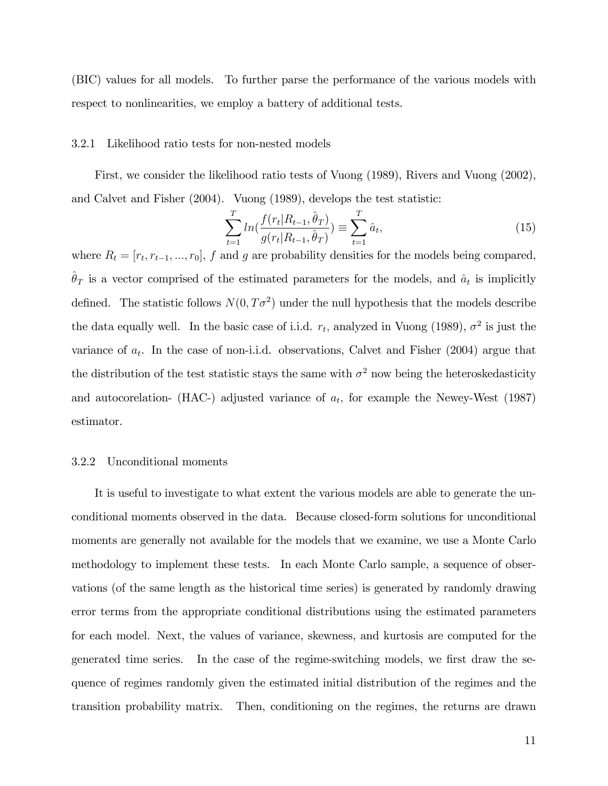(BIC) values for all models. To further parse the performance of the various models with respect to nonlinearities, we employ a battery of additional tests.

#### 3.2.1 Likelihood ratio tests for non-nested models

First, we consider the likelihood ratio tests of Vuong (1989), Rivers and Vuong (2002), and Calvet and Fisher (2004). Vuong (1989), develops the test statistic:

$$
\sum_{t=1}^{T} \ln\left(\frac{f(r_t|R_{t-1}, \hat{\theta}_T)}{g(r_t|R_{t-1}, \hat{\theta}_T)}\right) \equiv \sum_{t=1}^{T} \hat{a}_t,\tag{15}
$$

where  $R_t = [r_t, r_{t-1}, ..., r_0], f$  and g are probability densities for the models being compared,  $\hat{\theta}_T$  is a vector comprised of the estimated parameters for the models, and  $\hat{a}_t$  is implicitly defined. The statistic follows  $N(0, T\sigma^2)$  under the null hypothesis that the models describe the data equally well. In the basic case of i.i.d.  $r_t$ , analyzed in Vuong (1989),  $\sigma^2$  is just the variance of  $a_t$ . In the case of non-i.i.d. observations, Calvet and Fisher (2004) argue that the distribution of the test statistic stays the same with  $\sigma^2$  now being the heteroskedasticity and autocorelation- (HAC-) adjusted variance of  $a_t$ , for example the Newey-West (1987) estimator.

#### 3.2.2 Unconditional moments

It is useful to investigate to what extent the various models are able to generate the unconditional moments observed in the data. Because closed-form solutions for unconditional moments are generally not available for the models that we examine, we use a Monte Carlo methodology to implement these tests. In each Monte Carlo sample, a sequence of observations (of the same length as the historical time series) is generated by randomly drawing error terms from the appropriate conditional distributions using the estimated parameters for each model. Next, the values of variance, skewness, and kurtosis are computed for the generated time series. In the case of the regime-switching models, we first draw the sequence of regimes randomly given the estimated initial distribution of the regimes and the transition probability matrix. Then, conditioning on the regimes, the returns are drawn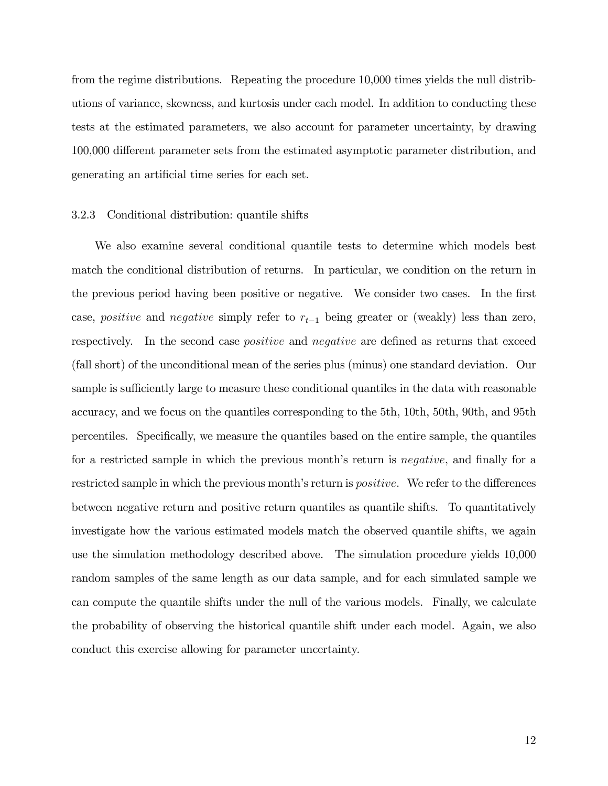from the regime distributions. Repeating the procedure 10,000 times yields the null distributions of variance, skewness, and kurtosis under each model. In addition to conducting these tests at the estimated parameters, we also account for parameter uncertainty, by drawing 100,000 different parameter sets from the estimated asymptotic parameter distribution, and generating an artificial time series for each set.

#### 3.2.3 Conditional distribution: quantile shifts

We also examine several conditional quantile tests to determine which models best match the conditional distribution of returns. In particular, we condition on the return in the previous period having been positive or negative. We consider two cases. In the first case, *positive* and *negative* simply refer to  $r_{t-1}$  being greater or (weakly) less than zero, respectively. In the second case *positive* and *negative* are defined as returns that exceed (fall short) of the unconditional mean of the series plus (minus) one standard deviation. Our sample is sufficiently large to measure these conditional quantiles in the data with reasonable accuracy, and we focus on the quantiles corresponding to the 5th, 10th, 50th, 90th, and 95th percentiles. Specifically, we measure the quantiles based on the entire sample, the quantiles for a restricted sample in which the previous month's return is *negative*, and finally for a restricted sample in which the previous month's return is *positive*. We refer to the differences between negative return and positive return quantiles as quantile shifts. To quantitatively investigate how the various estimated models match the observed quantile shifts, we again use the simulation methodology described above. The simulation procedure yields 10,000 random samples of the same length as our data sample, and for each simulated sample we can compute the quantile shifts under the null of the various models. Finally, we calculate the probability of observing the historical quantile shift under each model. Again, we also conduct this exercise allowing for parameter uncertainty.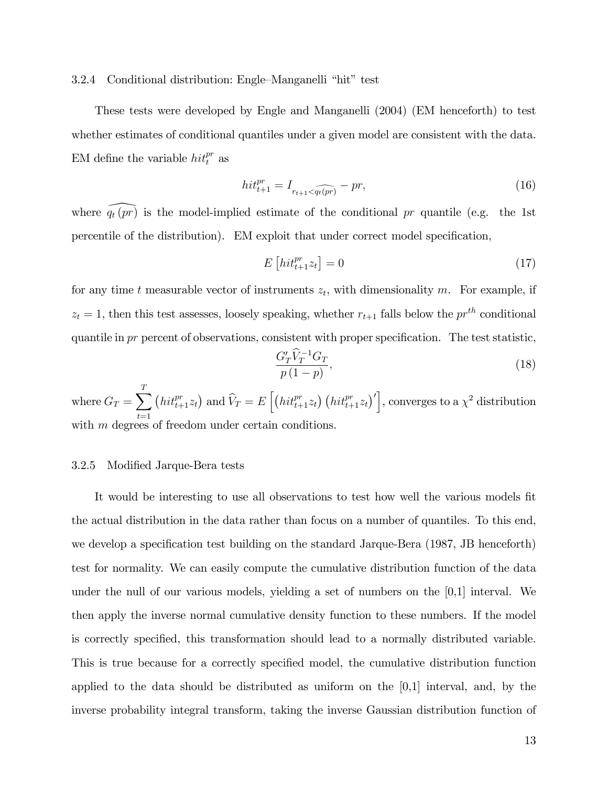#### 3.2.4 Conditional distribution: Engle-Manganelli "hit" test

These tests were developed by Engle and Manganelli (2004) (EM henceforth) to test whether estimates of conditional quantiles under a given model are consistent with the data. EM define the variable  $hit_t^{pr}$  as

$$
hit_{t+1}^{pr} = I_{r_{t+1} < \widehat{q_t(pr)}} - pr,
$$
\n<sup>(16)</sup>

where  $\widehat{q_t(pr)}$  is the model-implied estimate of the conditional pr quantile (e.g. the 1st percentile of the distribution). EM exploit that under correct model specification,

$$
E\left[hit_{t+1}^{pr}z_t\right] = 0\tag{17}
$$

for any time t measurable vector of instruments  $z_t$ , with dimensionality m. For example, if  $z_t = 1$ , then this test assesses, loosely speaking, whether  $r_{t+1}$  falls below the  $pr^{th}$  conditional quantile in  $pr$  percent of observations, consistent with proper specification. The test statistic,

$$
\frac{G'_T \widehat{V}_T^{-1} G_T}{p(1-p)},\tag{18}
$$

where  $G_T = \sum^T$  $t=1$  $\left(hit_{t+1}^{pr}z_t\right)$  and  $\widehat{V}_T = E\left[\left(hit_{t+1}^{pr}z_t\right)\left(hit_{t+1}^{pr}z_t\right)'\right]$ , converges to a  $\chi^2$  distribution with  $m$  degrees of freedom under certain conditions.

#### 3.2.5 Modified Jarque-Bera tests

It would be interesting to use all observations to test how well the various models fit the actual distribution in the data rather than focus on a number of quantiles. To this end, we develop a specification test building on the standard Jarque-Bera (1987, JB henceforth) test for normality. We can easily compute the cumulative distribution function of the data under the null of our various models, yielding a set of numbers on the  $[0,1]$  interval. We then apply the inverse normal cumulative density function to these numbers. If the model is correctly specified, this transformation should lead to a normally distributed variable. This is true because for a correctly specified model, the cumulative distribution function applied to the data should be distributed as uniform on the  $[0,1]$  interval, and, by the inverse probability integral transform, taking the inverse Gaussian distribution function of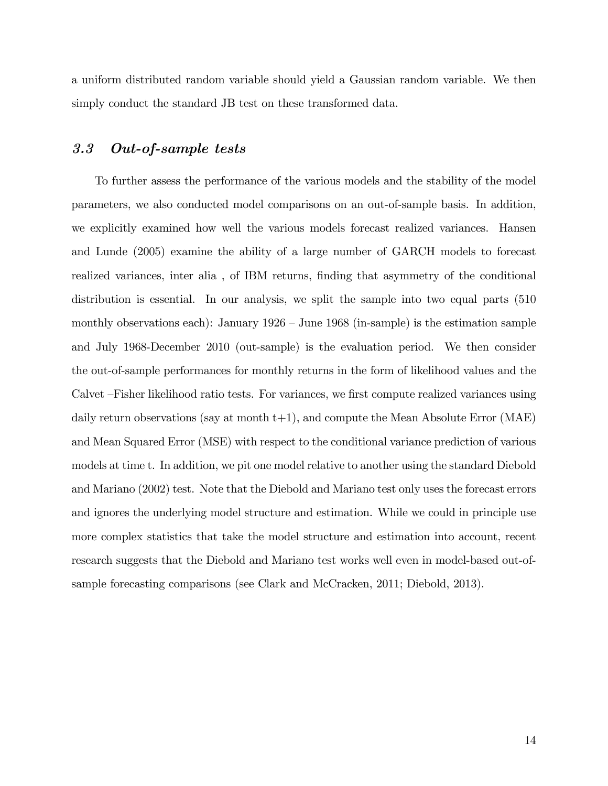a uniform distributed random variable should yield a Gaussian random variable. We then simply conduct the standard JB test on these transformed data.

#### 3.3 Out-of-sample tests

To further assess the performance of the various models and the stability of the model parameters, we also conducted model comparisons on an out-of-sample basis. In addition, we explicitly examined how well the various models forecast realized variances. Hansen and Lunde (2005) examine the ability of a large number of GARCH models to forecast realized variances, inter alia, of IBM returns, finding that asymmetry of the conditional distribution is essential. In our analysis, we split the sample into two equal parts (510 monthly observations each): January  $1926 -$  June  $1968$  (in-sample) is the estimation sample and July 1968-December 2010 (out-sample) is the evaluation period. We then consider the out-of-sample performances for monthly returns in the form of likelihood values and the Calvet – Fisher likelihood ratio tests. For variances, we first compute realized variances using daily return observations (say at month  $t+1$ ), and compute the Mean Absolute Error (MAE) and Mean Squared Error (MSE) with respect to the conditional variance prediction of various models at time t. In addition, we pit one model relative to another using the standard Diebold and Mariano (2002) test. Note that the Diebold and Mariano test only uses the forecast errors and ignores the underlying model structure and estimation. While we could in principle use more complex statistics that take the model structure and estimation into account, recent research suggests that the Diebold and Mariano test works well even in model-based out-ofsample forecasting comparisons (see Clark and McCracken, 2011; Diebold, 2013).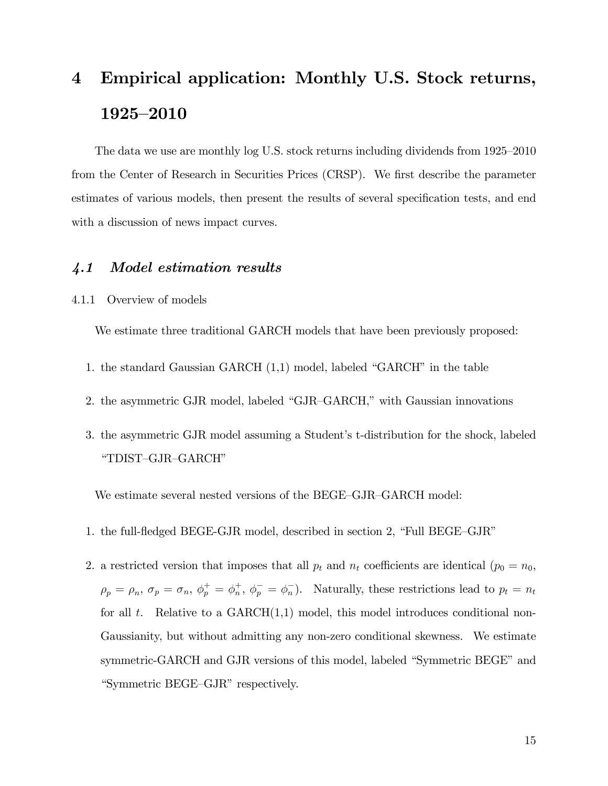# 4 Empirical application: Monthly U.S. Stock returns, 1925-2010

The data we use are monthly log U.S. stock returns including dividends from  $1925-2010$ from the Center of Research in Securities Prices (CRSP). We first describe the parameter estimates of various models, then present the results of several specification tests, and end with a discussion of news impact curves.

#### 4.1 Model estimation results

4.1.1 Overview of models

We estimate three traditional GARCH models that have been previously proposed:

- 1. the standard Gaussian GARCH  $(1,1)$  model, labeled "GARCH" in the table
- 2. the asymmetric GJR model, labeled "GJR-GARCH," with Gaussian innovations
- 3. the asymmetric GJR model assuming a Student's t-distribution for the shock, labeled "TDIST-GJR-GARCH"

We estimate several nested versions of the BEGE–GJR–GARCH model:

- 1. the full-fledged BEGE-GJR model, described in section 2, "Full BEGE-GJR"
- 2. a restricted version that imposes that all  $p_t$  and  $n_t$  coefficients are identical ( $p_0 = n_0$ ,  $\rho_p = \rho_n, \, \sigma_p = \sigma_n, \, \phi_p^+ = \phi_n^+$  $n_{n}^{+}$ ,  $\phi_{p}^{-} = \phi_{n}^{-}$ ). Naturally, these restrictions lead to  $p_{t} = n_{t}$ for all  $t$ . Relative to a GARCH $(1,1)$  model, this model introduces conditional non-Gaussianity, but without admitting any non-zero conditional skewness. We estimate symmetric-GARCH and GJR versions of this model, labeled "Symmetric BEGE" and "Symmetric BEGE-GJR" respectively.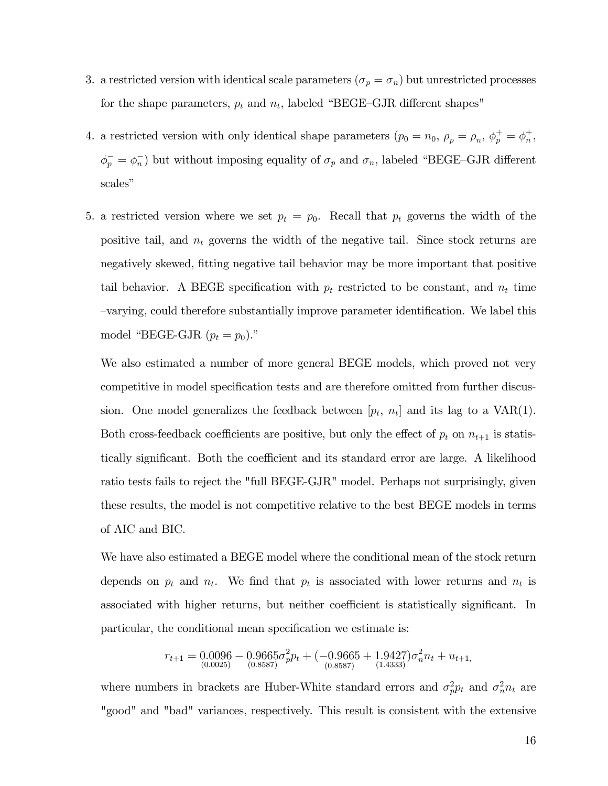- 3. a restricted version with identical scale parameters  $(\sigma_p = \sigma_n)$  but unrestricted processes for the shape parameters,  $p_t$  and  $n_t$ , labeled "BEGE-GJR different shapes"
- 4. a restricted version with only identical shape parameters  $(p_0 = n_0, \rho_p = \rho_n, \phi_p^+ = \phi_n^+$  $_n^+$  $\phi_p^- = \phi_n^-$ ) but without imposing equality of  $\sigma_p$  and  $\sigma_n$ , labeled "BEGE-GJR different scales"
- 5. a restricted version where we set  $p_t = p_0$ . Recall that  $p_t$  governs the width of the positive tail, and  $n_t$  governs the width of the negative tail. Since stock returns are negatively skewed, fitting negative tail behavior may be more important that positive tail behavior. A BEGE specification with  $p_t$  restricted to be constant, and  $n_t$  time  $\sim$ -varying, could therefore substantially improve parameter identification. We label this model "BEGE-GJR  $(p_t = p_0)$ ."

We also estimated a number of more general BEGE models, which proved not very competitive in model specification tests and are therefore omitted from further discussion. One model generalizes the feedback between  $[p_t, n_t]$  and its lag to a VAR(1). Both cross-feedback coefficients are positive, but only the effect of  $p_t$  on  $n_{t+1}$  is statistically significant. Both the coefficient and its standard error are large. A likelihood ratio tests fails to reject the "full BEGE-GJR" model. Perhaps not surprisingly, given these results, the model is not competitive relative to the best BEGE models in terms of AIC and BIC.

We have also estimated a BEGE model where the conditional mean of the stock return depends on  $p_t$  and  $n_t$ . We find that  $p_t$  is associated with lower returns and  $n_t$  is associated with higher returns, but neither coefficient is statistically significant. In particular, the conditional mean specification we estimate is:

$$
r_{t+1} = 0.0096 - 0.9665\sigma_p^2 p_t + (-0.9665 + 1.9427)\sigma_n^2 n_t + u_{t+1},
$$
  
<sub>(0.0025)</sub> (0.8587) (0.8587)

where numbers in brackets are Huber-White standard errors and  $\sigma_p^2 p_t$  and  $\sigma_n^2 n_t$  are "good" and "bad" variances, respectively. This result is consistent with the extensive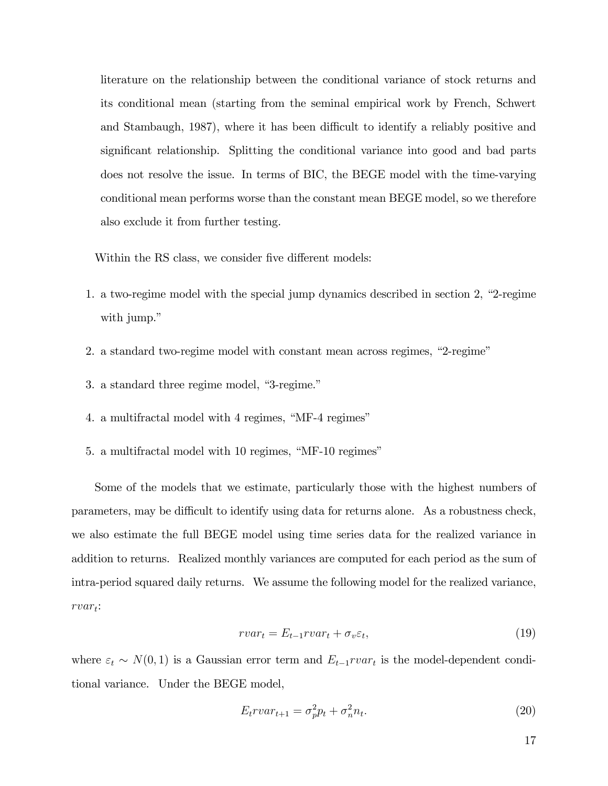literature on the relationship between the conditional variance of stock returns and its conditional mean (starting from the seminal empirical work by French, Schwert and Stambaugh, 1987), where it has been difficult to identify a reliably positive and significant relationship. Splitting the conditional variance into good and bad parts does not resolve the issue. In terms of BIC, the BEGE model with the time-varying conditional mean performs worse than the constant mean BEGE model, so we therefore also exclude it from further testing.

Within the RS class, we consider five different models:

- 1. a two-regime model with the special jump dynamics described in section 2,  $2$ -regime with jump."
- 2. a standard two-regime model with constant mean across regimes, "2-regime"
- 3. a standard three regime model, "3-regime."
- 4. a multifractal model with 4 regimes, "MF-4 regimes"
- 5. a multifractal model with 10 regimes, "MF-10 regimes"

Some of the models that we estimate, particularly those with the highest numbers of parameters, may be difficult to identify using data for returns alone. As a robustness check, we also estimate the full BEGE model using time series data for the realized variance in addition to returns. Realized monthly variances are computed for each period as the sum of intra-period squared daily returns. We assume the following model for the realized variance,  $rvar_t$ :

$$
vvar_t = E_{t-1} vvar_t + \sigma_v \varepsilon_t,\tag{19}
$$

where  $\varepsilon_t \sim N(0, 1)$  is a Gaussian error term and  $E_{t-1}rvar_t$  is the model-dependent conditional variance. Under the BEGE model,

$$
E_t r v a r_{t+1} = \sigma_p^2 p_t + \sigma_n^2 n_t. \tag{20}
$$

17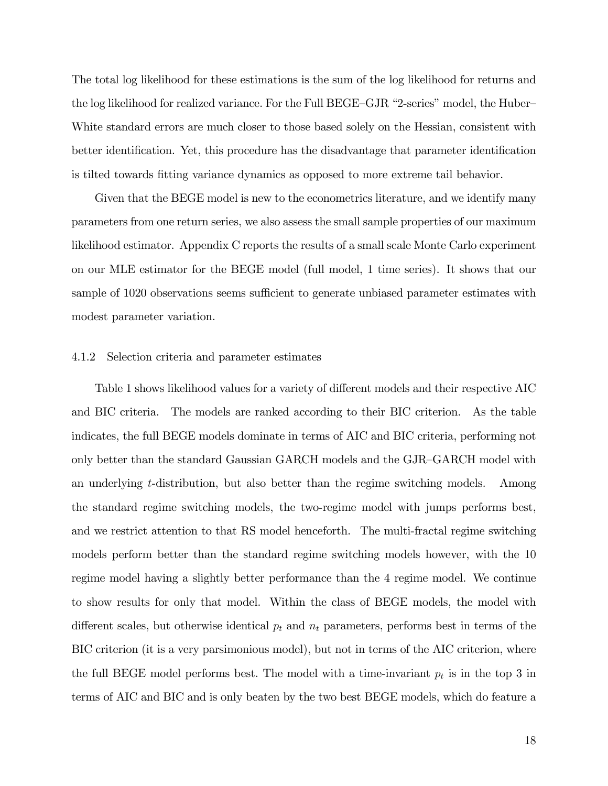The total log likelihood for these estimations is the sum of the log likelihood for returns and the log likelihood for realized variance. For the Full BEGE-GJR "2-series" model, the Huber-White standard errors are much closer to those based solely on the Hessian, consistent with better identification. Yet, this procedure has the disadvantage that parameter identification is tilted towards Ötting variance dynamics as opposed to more extreme tail behavior.

Given that the BEGE model is new to the econometrics literature, and we identify many parameters from one return series, we also assess the small sample properties of our maximum likelihood estimator. Appendix C reports the results of a small scale Monte Carlo experiment on our MLE estimator for the BEGE model (full model, 1 time series). It shows that our sample of 1020 observations seems sufficient to generate unbiased parameter estimates with modest parameter variation.

#### 4.1.2 Selection criteria and parameter estimates

Table 1 shows likelihood values for a variety of different models and their respective AIC and BIC criteria. The models are ranked according to their BIC criterion. As the table indicates, the full BEGE models dominate in terms of AIC and BIC criteria, performing not only better than the standard Gaussian GARCH models and the GJR-GARCH model with an underlying t-distribution, but also better than the regime switching models. Among the standard regime switching models, the two-regime model with jumps performs best, and we restrict attention to that RS model henceforth. The multi-fractal regime switching models perform better than the standard regime switching models however, with the 10 regime model having a slightly better performance than the 4 regime model. We continue to show results for only that model. Within the class of BEGE models, the model with different scales, but otherwise identical  $p_t$  and  $n_t$  parameters, performs best in terms of the BIC criterion (it is a very parsimonious model), but not in terms of the AIC criterion, where the full BEGE model performs best. The model with a time-invariant  $p_t$  is in the top 3 in terms of AIC and BIC and is only beaten by the two best BEGE models, which do feature a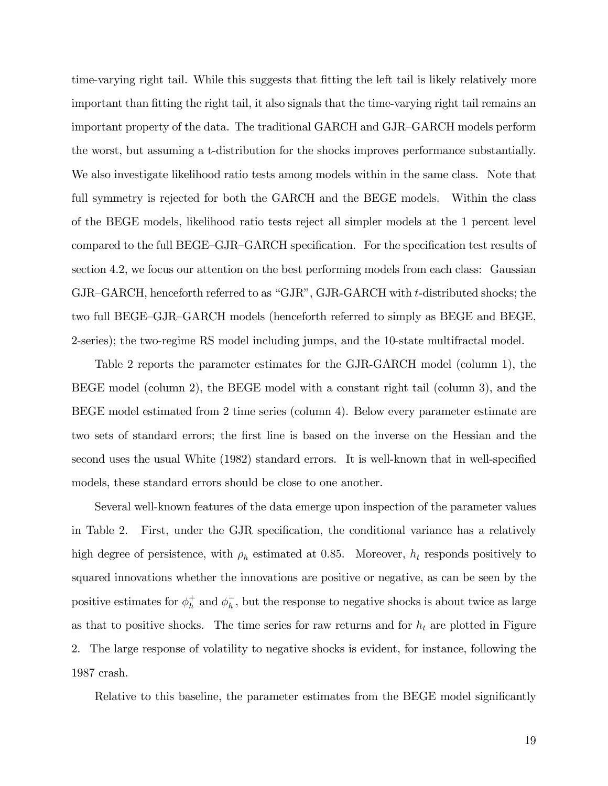time-varying right tail. While this suggests that fitting the left tail is likely relatively more important than fitting the right tail, it also signals that the time-varying right tail remains an important property of the data. The traditional GARCH and GJR-GARCH models perform the worst, but assuming a t-distribution for the shocks improves performance substantially. We also investigate likelihood ratio tests among models within in the same class. Note that full symmetry is rejected for both the GARCH and the BEGE models. Within the class of the BEGE models, likelihood ratio tests reject all simpler models at the 1 percent level compared to the full BEGE–GJR–GARCH specification. For the specification test results of section 4.2, we focus our attention on the best performing models from each class: Gaussian  $GJR-GARCH$ , henceforth referred to as " $GJR$ ",  $GJR-GARCH$  with t-distributed shocks; the two full BEGE–GJR–GARCH models (henceforth referred to simply as BEGE and BEGE, 2-series); the two-regime RS model including jumps, and the 10-state multifractal model.

Table 2 reports the parameter estimates for the GJR-GARCH model (column 1), the BEGE model (column 2), the BEGE model with a constant right tail (column 3), and the BEGE model estimated from 2 time series (column 4). Below every parameter estimate are two sets of standard errors; the first line is based on the inverse on the Hessian and the second uses the usual White (1982) standard errors. It is well-known that in well-specified models, these standard errors should be close to one another.

Several well-known features of the data emerge upon inspection of the parameter values in Table 2. First, under the GJR specification, the conditional variance has a relatively high degree of persistence, with  $\rho_h$  estimated at 0.85. Moreover,  $h_t$  responds positively to squared innovations whether the innovations are positive or negative, as can be seen by the positive estimates for  $\phi_h^+$  $h<sub>h</sub>$  and  $\phi<sub>h</sub>$ , but the response to negative shocks is about twice as large as that to positive shocks. The time series for raw returns and for  $h_t$  are plotted in Figure 2. The large response of volatility to negative shocks is evident, for instance, following the 1987 crash.

Relative to this baseline, the parameter estimates from the BEGE model significantly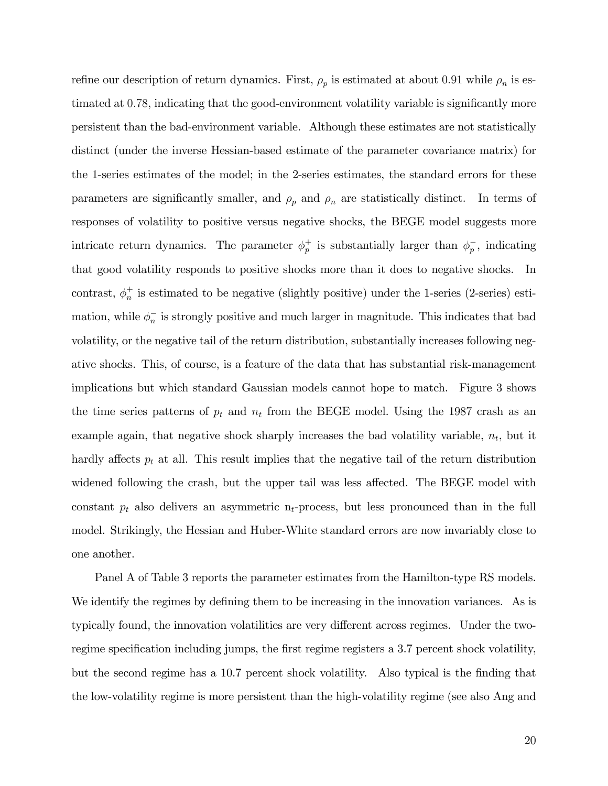refine our description of return dynamics. First,  $\rho_p$  is estimated at about 0.91 while  $\rho_n$  is estimated at 0.78, indicating that the good-environment volatility variable is significantly more persistent than the bad-environment variable. Although these estimates are not statistically distinct (under the inverse Hessian-based estimate of the parameter covariance matrix) for the 1-series estimates of the model; in the 2-series estimates, the standard errors for these parameters are significantly smaller, and  $\rho_p$  and  $\rho_n$  are statistically distinct. In terms of responses of volatility to positive versus negative shocks, the BEGE model suggests more intricate return dynamics. The parameter  $\phi_p^+$  $_p^+$  is substantially larger than  $\phi_p^-$ , indicating that good volatility responds to positive shocks more than it does to negative shocks. In contrast,  $\phi_n^+$  $\frac{1}{n}$  is estimated to be negative (slightly positive) under the 1-series (2-series) estimation, while  $\phi_n^-$  is strongly positive and much larger in magnitude. This indicates that bad volatility, or the negative tail of the return distribution, substantially increases following negative shocks. This, of course, is a feature of the data that has substantial risk-management implications but which standard Gaussian models cannot hope to match. Figure 3 shows the time series patterns of  $p_t$  and  $n_t$  from the BEGE model. Using the 1987 crash as an example again, that negative shock sharply increases the bad volatility variable,  $n_t$ , but it hardly affects  $p_t$  at all. This result implies that the negative tail of the return distribution widened following the crash, but the upper tail was less affected. The BEGE model with constant  $p_t$  also delivers an asymmetric n<sub>t</sub>-process, but less pronounced than in the full model. Strikingly, the Hessian and Huber-White standard errors are now invariably close to one another.

Panel A of Table 3 reports the parameter estimates from the Hamilton-type RS models. We identify the regimes by defining them to be increasing in the innovation variances. As is typically found, the innovation volatilities are very different across regimes. Under the tworegime specification including jumps, the first regime registers a 3.7 percent shock volatility, but the second regime has a 10.7 percent shock volatility. Also typical is the finding that the low-volatility regime is more persistent than the high-volatility regime (see also Ang and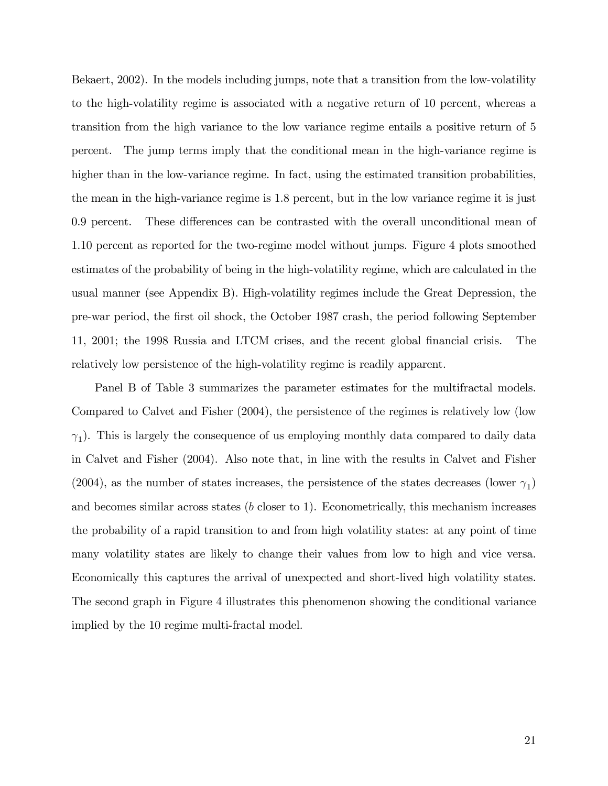Bekaert, 2002). In the models including jumps, note that a transition from the low-volatility to the high-volatility regime is associated with a negative return of 10 percent, whereas a transition from the high variance to the low variance regime entails a positive return of 5 percent. The jump terms imply that the conditional mean in the high-variance regime is higher than in the low-variance regime. In fact, using the estimated transition probabilities, the mean in the high-variance regime is 1.8 percent, but in the low variance regime it is just 0.9 percent. These differences can be contrasted with the overall unconditional mean of 1.10 percent as reported for the two-regime model without jumps. Figure 4 plots smoothed estimates of the probability of being in the high-volatility regime, which are calculated in the usual manner (see Appendix B). High-volatility regimes include the Great Depression, the pre-war period, the Örst oil shock, the October 1987 crash, the period following September 11, 2001; the 1998 Russia and LTCM crises, and the recent global Önancial crisis. The relatively low persistence of the high-volatility regime is readily apparent.

Panel B of Table 3 summarizes the parameter estimates for the multifractal models. Compared to Calvet and Fisher (2004), the persistence of the regimes is relatively low (low  $\gamma_1$ ). This is largely the consequence of us employing monthly data compared to daily data in Calvet and Fisher (2004). Also note that, in line with the results in Calvet and Fisher (2004), as the number of states increases, the persistence of the states decreases (lower  $\gamma_1$ ) and becomes similar across states  $(b \text{ closer to } 1)$ . Econometrically, this mechanism increases the probability of a rapid transition to and from high volatility states: at any point of time many volatility states are likely to change their values from low to high and vice versa. Economically this captures the arrival of unexpected and short-lived high volatility states. The second graph in Figure 4 illustrates this phenomenon showing the conditional variance implied by the 10 regime multi-fractal model.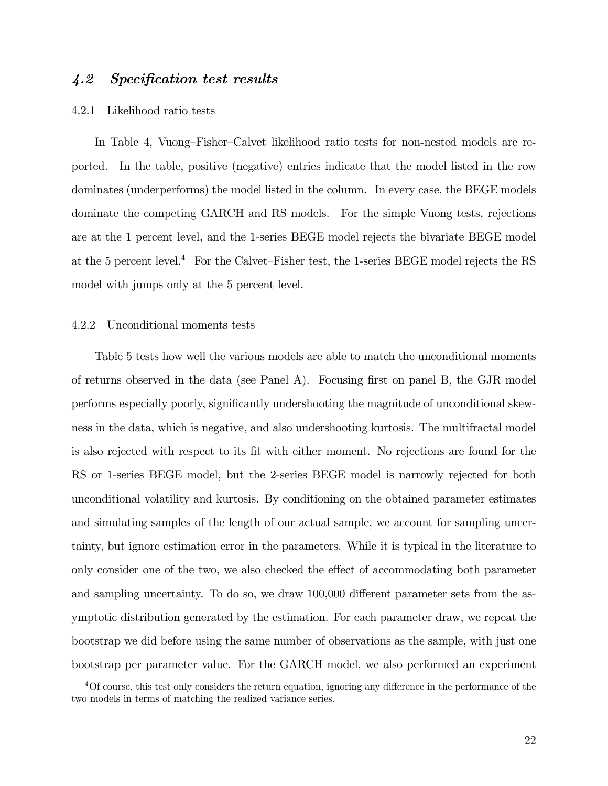### 4.2 Specification test results

#### 4.2.1 Likelihood ratio tests

In Table 4, Vuong–Fisher–Calvet likelihood ratio tests for non-nested models are reported. In the table, positive (negative) entries indicate that the model listed in the row dominates (underperforms) the model listed in the column. In every case, the BEGE models dominate the competing GARCH and RS models. For the simple Vuong tests, rejections are at the 1 percent level, and the 1-series BEGE model rejects the bivariate BEGE model at the 5 percent level.<sup>4</sup> For the Calvet–Fisher test, the 1-series BEGE model rejects the RS model with jumps only at the 5 percent level.

#### 4.2.2 Unconditional moments tests

Table 5 tests how well the various models are able to match the unconditional moments of returns observed in the data (see Panel A). Focusing Örst on panel B, the GJR model performs especially poorly, significantly undershooting the magnitude of unconditional skewness in the data, which is negative, and also undershooting kurtosis. The multifractal model is also rejected with respect to its Öt with either moment. No rejections are found for the RS or 1-series BEGE model, but the 2-series BEGE model is narrowly rejected for both unconditional volatility and kurtosis. By conditioning on the obtained parameter estimates and simulating samples of the length of our actual sample, we account for sampling uncertainty, but ignore estimation error in the parameters. While it is typical in the literature to only consider one of the two, we also checked the effect of accommodating both parameter and sampling uncertainty. To do so, we draw 100,000 different parameter sets from the asymptotic distribution generated by the estimation. For each parameter draw, we repeat the bootstrap we did before using the same number of observations as the sample, with just one bootstrap per parameter value. For the GARCH model, we also performed an experiment

 $40f$  course, this test only considers the return equation, ignoring any difference in the performance of the two models in terms of matching the realized variance series.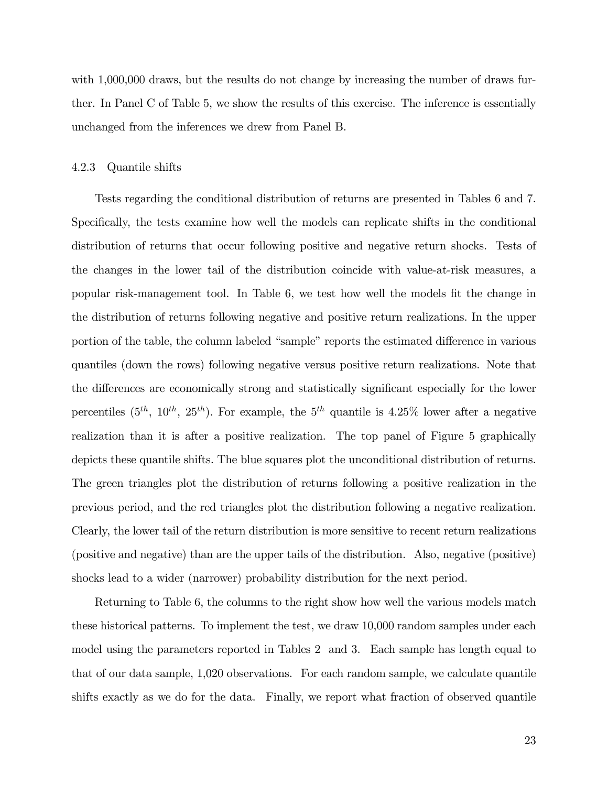with 1,000,000 draws, but the results do not change by increasing the number of draws further. In Panel C of Table 5, we show the results of this exercise. The inference is essentially unchanged from the inferences we drew from Panel B.

#### 4.2.3 Quantile shifts

Tests regarding the conditional distribution of returns are presented in Tables 6 and 7. Specifically, the tests examine how well the models can replicate shifts in the conditional distribution of returns that occur following positive and negative return shocks. Tests of the changes in the lower tail of the distribution coincide with value-at-risk measures, a popular risk-management tool. In Table 6, we test how well the models fit the change in the distribution of returns following negative and positive return realizations. In the upper portion of the table, the column labeled "sample" reports the estimated difference in various quantiles (down the rows) following negative versus positive return realizations. Note that the differences are economically strong and statistically significant especially for the lower percentiles  $(5^{th}, 10^{th}, 25^{th})$ . For example, the  $5^{th}$  quantile is 4.25% lower after a negative realization than it is after a positive realization. The top panel of Figure 5 graphically depicts these quantile shifts. The blue squares plot the unconditional distribution of returns. The green triangles plot the distribution of returns following a positive realization in the previous period, and the red triangles plot the distribution following a negative realization. Clearly, the lower tail of the return distribution is more sensitive to recent return realizations (positive and negative) than are the upper tails of the distribution. Also, negative (positive) shocks lead to a wider (narrower) probability distribution for the next period.

Returning to Table 6, the columns to the right show how well the various models match these historical patterns. To implement the test, we draw 10,000 random samples under each model using the parameters reported in Tables 2 and 3. Each sample has length equal to that of our data sample, 1,020 observations. For each random sample, we calculate quantile shifts exactly as we do for the data. Finally, we report what fraction of observed quantile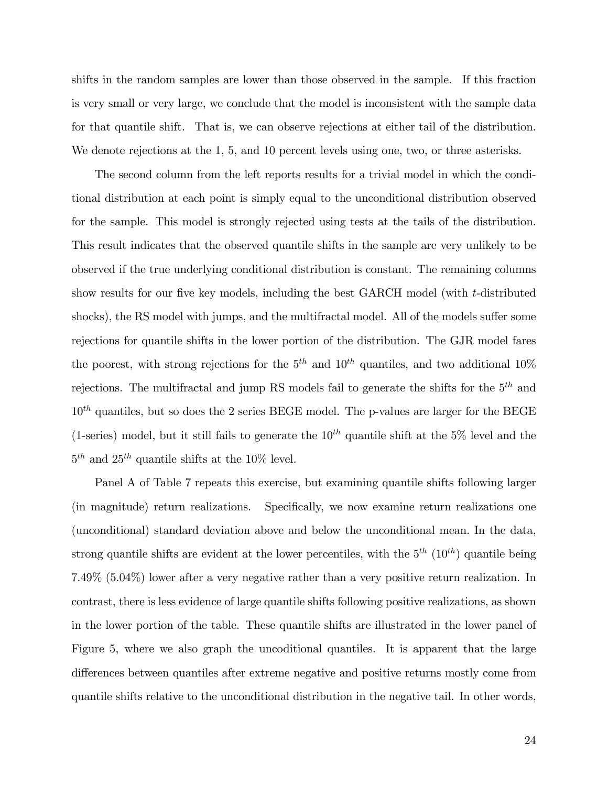shifts in the random samples are lower than those observed in the sample. If this fraction is very small or very large, we conclude that the model is inconsistent with the sample data for that quantile shift. That is, we can observe rejections at either tail of the distribution. We denote rejections at the 1, 5, and 10 percent levels using one, two, or three asterisks.

The second column from the left reports results for a trivial model in which the conditional distribution at each point is simply equal to the unconditional distribution observed for the sample. This model is strongly rejected using tests at the tails of the distribution. This result indicates that the observed quantile shifts in the sample are very unlikely to be observed if the true underlying conditional distribution is constant. The remaining columns show results for our five key models, including the best GARCH model (with t-distributed shocks), the RS model with jumps, and the multifractal model. All of the models suffer some rejections for quantile shifts in the lower portion of the distribution. The GJR model fares the poorest, with strong rejections for the  $5<sup>th</sup>$  and  $10<sup>th</sup>$  quantiles, and two additional  $10<sup>o</sup>$ rejections. The multifractal and jump RS models fail to generate the shifts for the  $5<sup>th</sup>$  and  $10^{th}$  quantiles, but so does the 2 series BEGE model. The p-values are larger for the BEGE (1-series) model, but it still fails to generate the  $10^{th}$  quantile shift at the 5% level and the  $5<sup>th</sup>$  and  $25<sup>th</sup>$  quantile shifts at the 10% level.

Panel A of Table 7 repeats this exercise, but examining quantile shifts following larger (in magnitude) return realizations. Specifically, we now examine return realizations one (unconditional) standard deviation above and below the unconditional mean. In the data, strong quantile shifts are evident at the lower percentiles, with the  $5<sup>th</sup> (10<sup>th</sup>)$  quantile being 7.49% (5.04%) lower after a very negative rather than a very positive return realization. In contrast, there is less evidence of large quantile shifts following positive realizations, as shown in the lower portion of the table. These quantile shifts are illustrated in the lower panel of Figure 5, where we also graph the uncoditional quantiles. It is apparent that the large differences between quantiles after extreme negative and positive returns mostly come from quantile shifts relative to the unconditional distribution in the negative tail. In other words,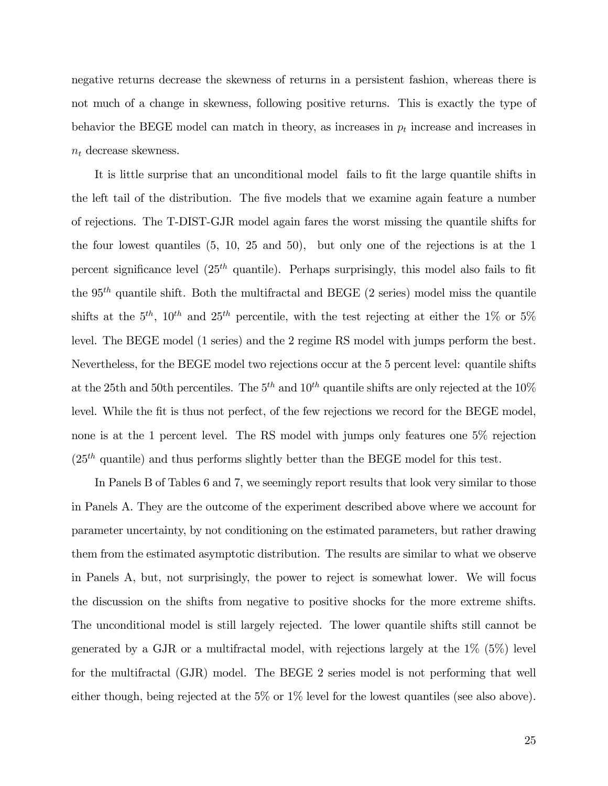negative returns decrease the skewness of returns in a persistent fashion, whereas there is not much of a change in skewness, following positive returns. This is exactly the type of behavior the BEGE model can match in theory, as increases in  $p_t$  increase and increases in  $n_t$  decrease skewness.

It is little surprise that an unconditional model fails to fit the large quantile shifts in the left tail of the distribution. The Öve models that we examine again feature a number of rejections. The T-DIST-GJR model again fares the worst missing the quantile shifts for the four lowest quantiles (5, 10, 25 and 50), but only one of the rejections is at the 1 percent significance level  $(25<sup>th</sup>$  quantile). Perhaps surprisingly, this model also fails to fit the  $95<sup>th</sup>$  quantile shift. Both the multifractal and BEGE (2 series) model miss the quantile shifts at the  $5<sup>th</sup>$ ,  $10<sup>th</sup>$  and  $25<sup>th</sup>$  percentile, with the test rejecting at either the 1% or 5% level. The BEGE model (1 series) and the 2 regime RS model with jumps perform the best. Nevertheless, for the BEGE model two rejections occur at the 5 percent level: quantile shifts at the 25th and 50th percentiles. The  $5<sup>th</sup>$  and  $10<sup>th</sup>$  quantile shifts are only rejected at the 10% level. While the fit is thus not perfect, of the few rejections we record for the BEGE model, none is at the 1 percent level. The RS model with jumps only features one 5% rejection  $(25<sup>th</sup>$  quantile) and thus performs slightly better than the BEGE model for this test.

In Panels B of Tables 6 and 7, we seemingly report results that look very similar to those in Panels A. They are the outcome of the experiment described above where we account for parameter uncertainty, by not conditioning on the estimated parameters, but rather drawing them from the estimated asymptotic distribution. The results are similar to what we observe in Panels A, but, not surprisingly, the power to reject is somewhat lower. We will focus the discussion on the shifts from negative to positive shocks for the more extreme shifts. The unconditional model is still largely rejected. The lower quantile shifts still cannot be generated by a GJR or a multifractal model, with rejections largely at the 1% (5%) level for the multifractal (GJR) model. The BEGE 2 series model is not performing that well either though, being rejected at the 5% or 1% level for the lowest quantiles (see also above).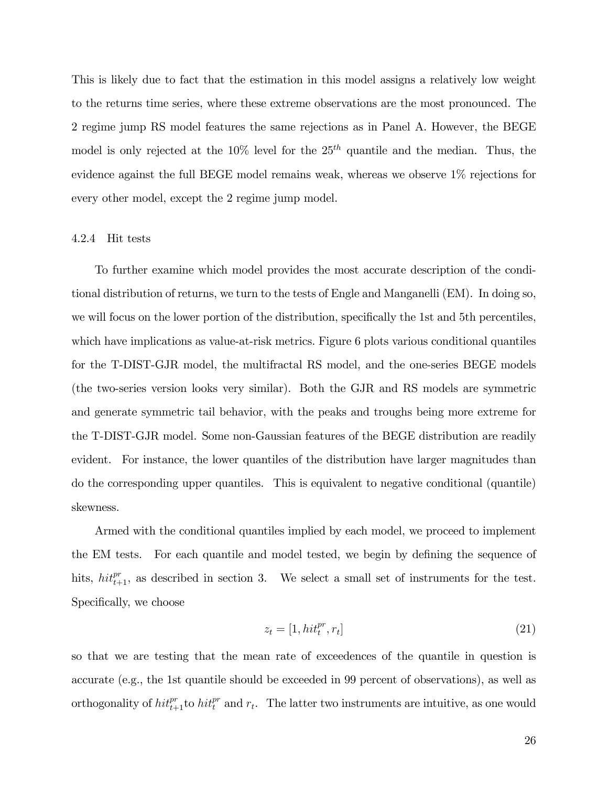This is likely due to fact that the estimation in this model assigns a relatively low weight to the returns time series, where these extreme observations are the most pronounced. The 2 regime jump RS model features the same rejections as in Panel A. However, the BEGE model is only rejected at the  $10\%$  level for the  $25<sup>th</sup>$  quantile and the median. Thus, the evidence against the full BEGE model remains weak, whereas we observe 1% rejections for every other model, except the 2 regime jump model.

#### 4.2.4 Hit tests

To further examine which model provides the most accurate description of the conditional distribution of returns, we turn to the tests of Engle and Manganelli (EM). In doing so, we will focus on the lower portion of the distribution, specifically the 1st and 5th percentiles, which have implications as value-at-risk metrics. Figure 6 plots various conditional quantiles for the T-DIST-GJR model, the multifractal RS model, and the one-series BEGE models (the two-series version looks very similar). Both the GJR and RS models are symmetric and generate symmetric tail behavior, with the peaks and troughs being more extreme for the T-DIST-GJR model. Some non-Gaussian features of the BEGE distribution are readily evident. For instance, the lower quantiles of the distribution have larger magnitudes than do the corresponding upper quantiles. This is equivalent to negative conditional (quantile) skewness.

Armed with the conditional quantiles implied by each model, we proceed to implement the EM tests. For each quantile and model tested, we begin by defining the sequence of hits,  $hit_{t+1}^{pr}$ , as described in section 3. We select a small set of instruments for the test. Specifically, we choose

$$
z_t = [1, hit_t^{pr}, r_t]
$$
\n
$$
(21)
$$

so that we are testing that the mean rate of exceedences of the quantile in question is accurate (e.g., the 1st quantile should be exceeded in 99 percent of observations), as well as orthogonality of  $hit_{t+1}^{pr}$  to  $hit_t^{pr}$  and  $r_t$ . The latter two instruments are intuitive, as one would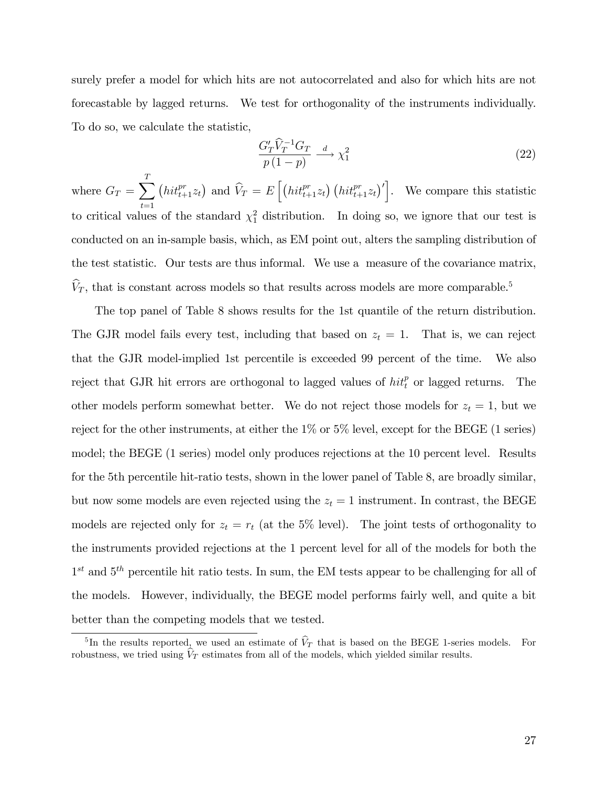surely prefer a model for which hits are not autocorrelated and also for which hits are not forecastable by lagged returns. We test for orthogonality of the instruments individually. To do so, we calculate the statistic,

$$
\frac{G'_T \hat{V}_T^{-1} G_T}{p(1-p)} \xrightarrow{d} \chi_1^2
$$
\n(22)

where  $G_T = \sum_{i=1}^{T}$  $t=1$  $\left(hit_{t+1}^{pr}z_t\right)$  and  $\hat{V}_T = E\left[\left(hit_{t+1}^{pr}z_t\right)\left(hit_{t+1}^{pr}z_t\right)'\right]$ . We compare this statistic to critical values of the standard  $\chi_1^2$  distribution. In doing so, we ignore that our test is conducted on an in-sample basis, which, as EM point out, alters the sampling distribution of the test statistic. Our tests are thus informal. We use a measure of the covariance matrix,  $\widehat{V}_T$ , that is constant across models so that results across models are more comparable.<sup>5</sup>

The top panel of Table 8 shows results for the 1st quantile of the return distribution. The GJR model fails every test, including that based on  $z_t = 1$ . That is, we can reject that the GJR model-implied 1st percentile is exceeded 99 percent of the time. We also reject that GJR hit errors are orthogonal to lagged values of  $hit_t^p$  or lagged returns. The other models perform somewhat better. We do not reject those models for  $z_t = 1$ , but we reject for the other instruments, at either the 1% or 5% level, except for the BEGE (1 series) model; the BEGE (1 series) model only produces rejections at the 10 percent level. Results for the 5th percentile hit-ratio tests, shown in the lower panel of Table 8, are broadly similar, but now some models are even rejected using the  $z_t = 1$  instrument. In contrast, the BEGE models are rejected only for  $z_t = r_t$  (at the 5% level). The joint tests of orthogonality to the instruments provided rejections at the 1 percent level for all of the models for both the  $1<sup>st</sup>$  and  $5<sup>th</sup>$  percentile hit ratio tests. In sum, the EM tests appear to be challenging for all of the models. However, individually, the BEGE model performs fairly well, and quite a bit better than the competing models that we tested.

<sup>&</sup>lt;sup>5</sup>In the results reported, we used an estimate of  $\hat{V}_T$  that is based on the BEGE 1-series models. For robustness, we tried using  $V_T$  estimates from all of the models, which yielded similar results.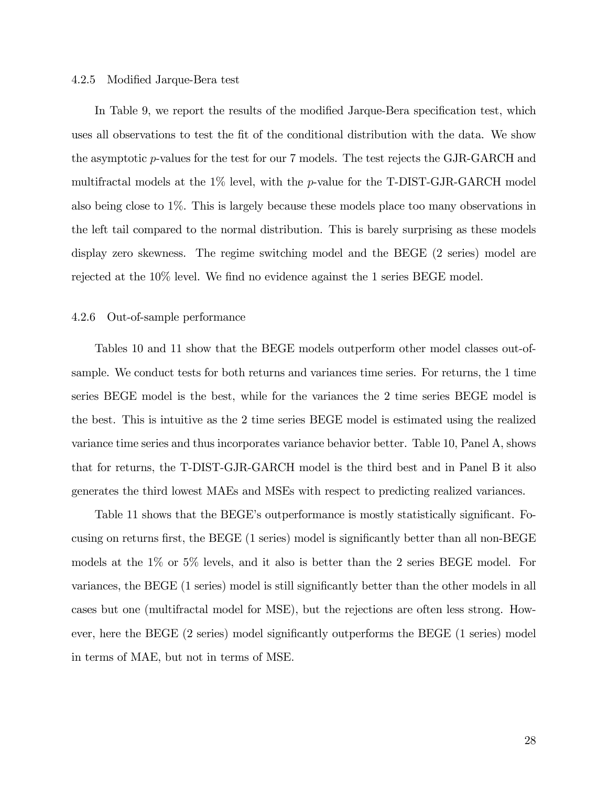#### 4.2.5 Modified Jarque-Bera test

In Table 9, we report the results of the modified Jarque-Bera specification test, which uses all observations to test the Öt of the conditional distribution with the data. We show the asymptotic p-values for the test for our 7 models. The test rejects the GJR-GARCH and multifractal models at the 1% level, with the p-value for the T-DIST-GJR-GARCH model also being close to 1%. This is largely because these models place too many observations in the left tail compared to the normal distribution. This is barely surprising as these models display zero skewness. The regime switching model and the BEGE (2 series) model are rejected at the  $10\%$  level. We find no evidence against the 1 series BEGE model.

#### 4.2.6 Out-of-sample performance

Tables 10 and 11 show that the BEGE models outperform other model classes out-ofsample. We conduct tests for both returns and variances time series. For returns, the 1 time series BEGE model is the best, while for the variances the 2 time series BEGE model is the best. This is intuitive as the 2 time series BEGE model is estimated using the realized variance time series and thus incorporates variance behavior better. Table 10, Panel A, shows that for returns, the T-DIST-GJR-GARCH model is the third best and in Panel B it also generates the third lowest MAEs and MSEs with respect to predicting realized variances.

Table 11 shows that the BEGE's outperformance is mostly statistically significant. Focusing on returns first, the BEGE (1 series) model is significantly better than all non-BEGE models at the 1% or 5% levels, and it also is better than the 2 series BEGE model. For variances, the BEGE (1 series) model is still significantly better than the other models in all cases but one (multifractal model for MSE), but the rejections are often less strong. However, here the BEGE (2 series) model significantly outperforms the BEGE (1 series) model in terms of MAE, but not in terms of MSE.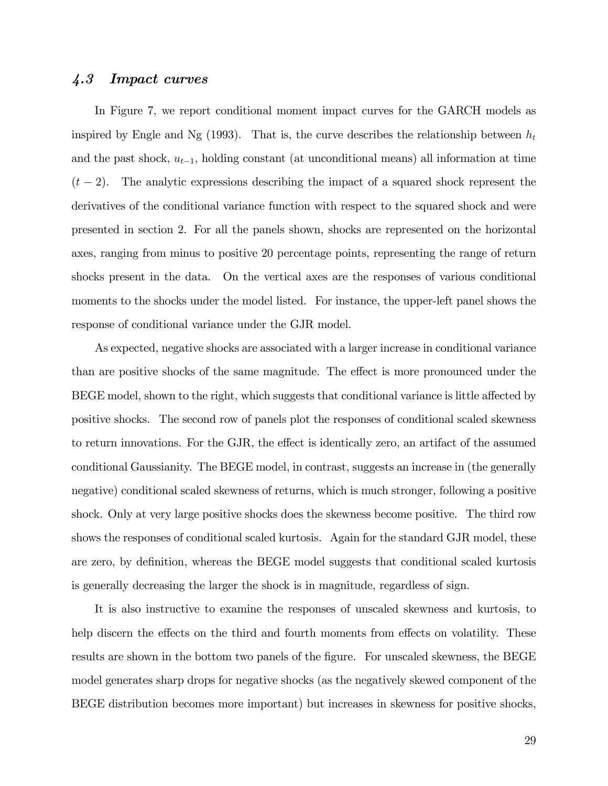#### 4.3 Impact curves

In Figure 7, we report conditional moment impact curves for the GARCH models as inspired by Engle and Ng (1993). That is, the curve describes the relationship between  $h_t$ and the past shock,  $u_{t-1}$ , holding constant (at unconditional means) all information at time  $(t - 2)$ . The analytic expressions describing the impact of a squared shock represent the derivatives of the conditional variance function with respect to the squared shock and were presented in section 2. For all the panels shown, shocks are represented on the horizontal axes, ranging from minus to positive 20 percentage points, representing the range of return shocks present in the data. On the vertical axes are the responses of various conditional moments to the shocks under the model listed. For instance, the upper-left panel shows the response of conditional variance under the GJR model.

As expected, negative shocks are associated with a larger increase in conditional variance than are positive shocks of the same magnitude. The effect is more pronounced under the BEGE model, shown to the right, which suggests that conditional variance is little affected by positive shocks. The second row of panels plot the responses of conditional scaled skewness to return innovations. For the GJR, the effect is identically zero, an artifact of the assumed conditional Gaussianity. The BEGE model, in contrast, suggests an increase in (the generally negative) conditional scaled skewness of returns, which is much stronger, following a positive shock. Only at very large positive shocks does the skewness become positive. The third row shows the responses of conditional scaled kurtosis. Again for the standard GJR model, these are zero, by definition, whereas the BEGE model suggests that conditional scaled kurtosis is generally decreasing the larger the shock is in magnitude, regardless of sign.

It is also instructive to examine the responses of unscaled skewness and kurtosis, to help discern the effects on the third and fourth moments from effects on volatility. These results are shown in the bottom two panels of the figure. For unscaled skewness, the BEGE model generates sharp drops for negative shocks (as the negatively skewed component of the BEGE distribution becomes more important) but increases in skewness for positive shocks,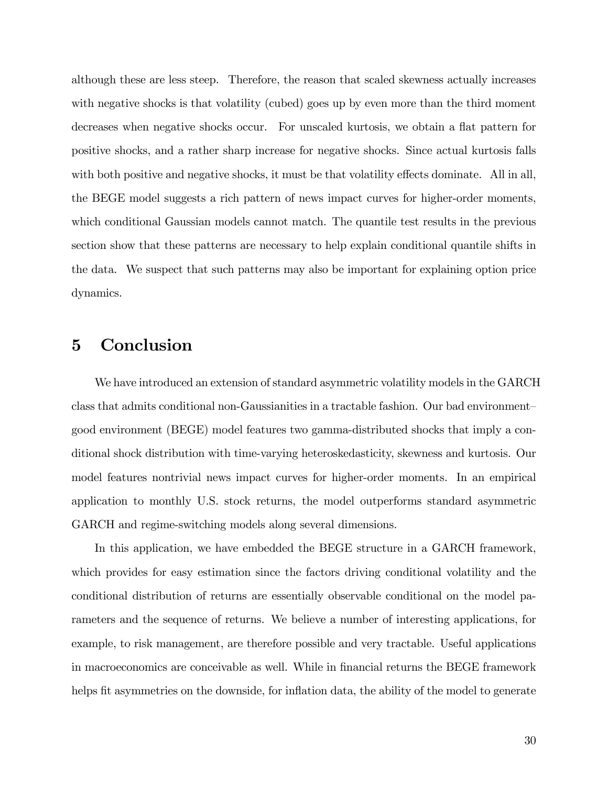although these are less steep. Therefore, the reason that scaled skewness actually increases with negative shocks is that volatility (cubed) goes up by even more than the third moment decreases when negative shocks occur. For unscaled kurtosis, we obtain a flat pattern for positive shocks, and a rather sharp increase for negative shocks. Since actual kurtosis falls with both positive and negative shocks, it must be that volatility effects dominate. All in all, the BEGE model suggests a rich pattern of news impact curves for higher-order moments, which conditional Gaussian models cannot match. The quantile test results in the previous section show that these patterns are necessary to help explain conditional quantile shifts in the data. We suspect that such patterns may also be important for explaining option price dynamics.

### 5 Conclusion

We have introduced an extension of standard asymmetric volatility models in the GARCH class that admits conditional non-Gaussianities in a tractable fashion. Our bad environment good environment (BEGE) model features two gamma-distributed shocks that imply a conditional shock distribution with time-varying heteroskedasticity, skewness and kurtosis. Our model features nontrivial news impact curves for higher-order moments. In an empirical application to monthly U.S. stock returns, the model outperforms standard asymmetric GARCH and regime-switching models along several dimensions.

In this application, we have embedded the BEGE structure in a GARCH framework, which provides for easy estimation since the factors driving conditional volatility and the conditional distribution of returns are essentially observable conditional on the model parameters and the sequence of returns. We believe a number of interesting applications, for example, to risk management, are therefore possible and very tractable. Useful applications in macroeconomics are conceivable as well. While in financial returns the BEGE framework helps fit asymmetries on the downside, for inflation data, the ability of the model to generate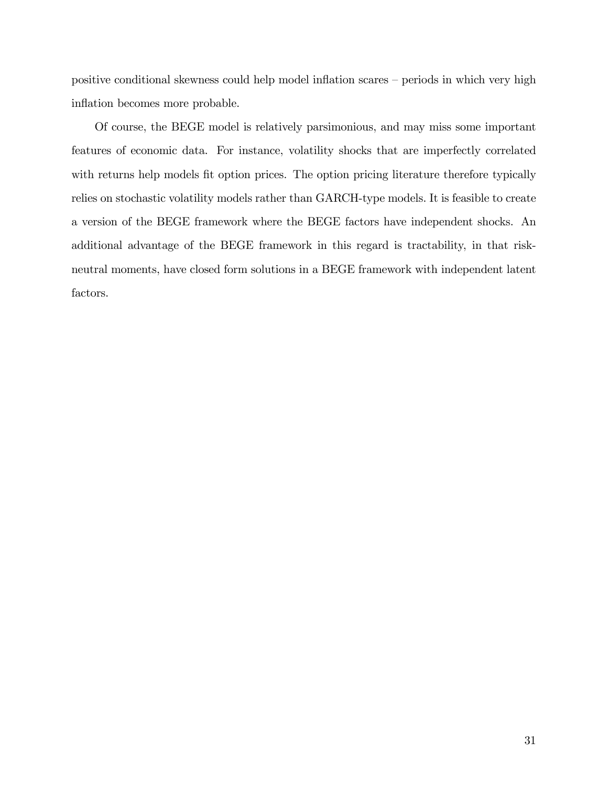positive conditional skewness could help model inflation scares  $-$  periods in which very high inflation becomes more probable.

Of course, the BEGE model is relatively parsimonious, and may miss some important features of economic data. For instance, volatility shocks that are imperfectly correlated with returns help models fit option prices. The option pricing literature therefore typically relies on stochastic volatility models rather than GARCH-type models. It is feasible to create a version of the BEGE framework where the BEGE factors have independent shocks. An additional advantage of the BEGE framework in this regard is tractability, in that riskneutral moments, have closed form solutions in a BEGE framework with independent latent factors.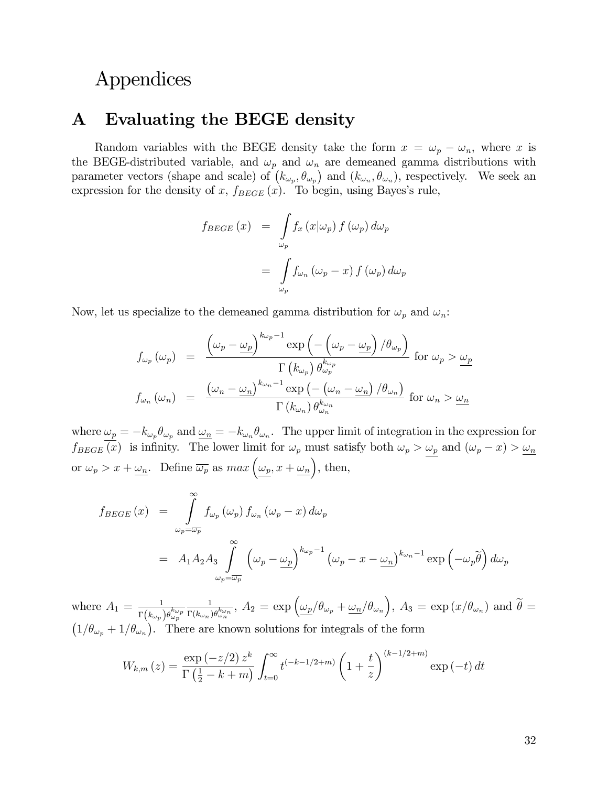## Appendices

### A Evaluating the BEGE density

Random variables with the BEGE density take the form  $x = \omega_p - \omega_n$ , where x is the BEGE-distributed variable, and  $\omega_p$  and  $\omega_n$  are demeaned gamma distributions with parameter vectors (shape and scale) of  $(k_{\omega_p}, \theta_{\omega_p})$  and  $(k_{\omega_n}, \theta_{\omega_n})$ , respectively. We seek an expression for the density of x,  $f_{BEGE}(x)$ . To begin, using Bayes's rule,

$$
f_{BEGE}(x) = \int_{\omega_p} f_x(x|\omega_p) f(\omega_p) d\omega_p
$$

$$
= \int_{\omega_p} f_{\omega_n}(\omega_p - x) f(\omega_p) d\omega_p
$$

Now, let us specialize to the demeaned gamma distribution for  $\omega_p$  and  $\omega_n$ :

$$
f_{\omega_p}(\omega_p) = \frac{\left(\omega_p - \underline{\omega}_p\right)^{k_{\omega_p}-1} \exp\left(-\left(\omega_p - \underline{\omega}_p\right)/\theta_{\omega_p}\right)}{\Gamma\left(k_{\omega_p}\right) \theta_{\omega_p}^{k_{\omega_p}}} \text{ for } \omega_p > \underline{\omega}_p
$$

$$
f_{\omega_n}(\omega_n) = \frac{\left(\omega_n - \underline{\omega}_n\right)^{k_{\omega_n}-1} \exp\left(-\left(\omega_n - \underline{\omega}_n\right)/\theta_{\omega_n}\right)}{\Gamma\left(k_{\omega_n}\right) \theta_{\omega_n}^{k_{\omega_n}}} \text{ for } \omega_n > \underline{\omega}_n
$$

where  $\omega_p = -k_{\omega_p}\theta_{\omega_p}$  and  $\omega_n = -k_{\omega_n}\theta_{\omega_n}$ . The upper limit of integration in the expression for  $f_{BEGE}(x)$  is infinity. The lower limit for  $\omega_p$  must satisfy both  $\omega_p > \omega_p$  and  $(\omega_p - x) > \omega_n$ or  $\omega_p > x + \omega_n$ . Define  $\overline{\omega_p}$  as  $max(\omega_p, x + \omega_n)$ , then,

$$
f_{BEGE}(x) = \int_{\omega_p = \overline{\omega_p}}^{\infty} f_{\omega_p}(\omega_p) f_{\omega_n}(\omega_p - x) d\omega_p
$$
  
=  $A_1 A_2 A_3 \int_{\omega_p = \overline{\omega_p}}^{\infty} (\omega_p - \underline{\omega_p})^{k_{\omega_p} - 1} (\omega_p - x - \underline{\omega_n})^{k_{\omega_n} - 1} \exp(-\omega_p \widetilde{\theta}) d\omega_p$ 

where  $A_1 = \frac{1}{n}$  $\overline{\Gamma\bigl(k\omega_{p}\bigr)\theta_{\omega_{p}}^{k\omega_{p}}}$ 1  $\frac{1}{\Gamma(k_{\omega_n})\theta_{\omega_n}^{k_{\omega_n}}}, A_2 = \exp\left(\frac{\omega_p}{\theta_{\omega_p} + \omega_n/\theta_{\omega_n}}\right), A_3 = \exp\left(x/\theta_{\omega_n}\right)$  and  $\widetilde{\theta} =$  $(1/\theta_{\omega_p} + 1/\theta_{\omega_n})$ . There are known solutions for integrals of the form

$$
W_{k,m}(z) = \frac{\exp(-z/2) z^k}{\Gamma(\frac{1}{2} - k + m)} \int_{t=0}^{\infty} t^{(-k-1/2+m)} \left(1 + \frac{t}{z}\right)^{(k-1/2+m)} \exp(-t) dt
$$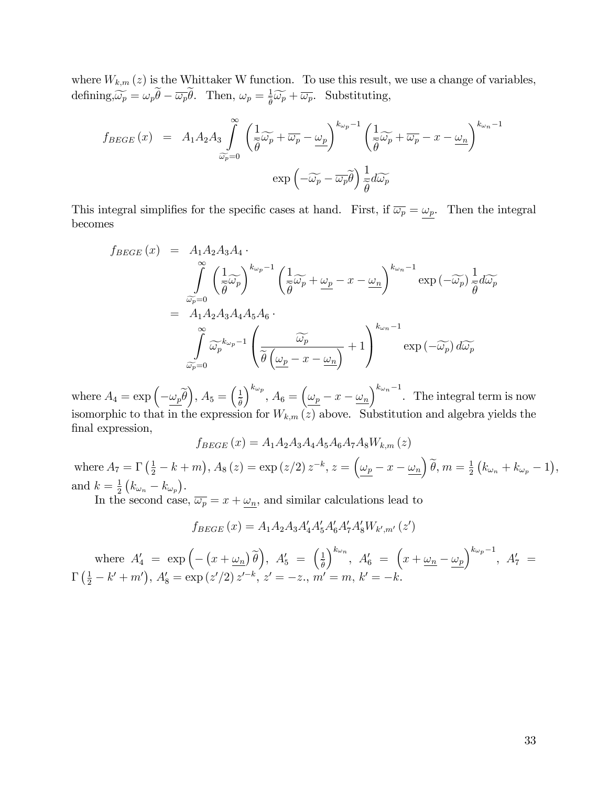where  $W_{k,m}(z)$  is the Whittaker W function. To use this result, we use a change of variables, defining,  $\widetilde{\omega_p} = \omega_p \dot{\theta} - \overline{\omega_p} \dot{\theta}$ . Then,  $\omega_p = \frac{1}{\tilde{\theta}}$  $\frac{1}{\tilde{\theta}}\widetilde{\omega_p} + \overline{\omega_p}$ . Substituting,

$$
f_{BEGE}(x) = A_1 A_2 A_3 \int_{\widetilde{\omega}_p=0}^{\infty} \left( \frac{1}{\widetilde{\theta}} \widetilde{\omega}_p + \overline{\omega}_p - \underline{\omega}_p \right)^{k_{\omega_p}-1} \left( \frac{1}{\widetilde{\theta}} \widetilde{\omega}_p + \overline{\omega}_p - x - \underline{\omega}_n \right)^{k_{\omega_n}-1}
$$

$$
\exp\left(-\widetilde{\omega}_p - \overline{\omega}_p \widetilde{\theta}\right) \frac{1}{\widetilde{\theta}} d\widetilde{\omega}_p
$$

This integral simplifies for the specific cases at hand. First, if  $\overline{\omega_p} = \omega_p$ . Then the integral becomes

$$
f_{BEGE}(x) = A_1 A_2 A_3 A_4 \cdot \int_{\widetilde{\omega}_p=0}^{\infty} \left(\frac{1}{\widetilde{\theta}} \widetilde{\omega}_p\right)^{k_{\omega_p}-1} \left(\frac{1}{\widetilde{\theta}} \widetilde{\omega}_p + \underline{\omega}_p - x - \underline{\omega}_n\right)^{k_{\omega_n}-1} \exp\left(-\widetilde{\omega}_p\right) \frac{1}{\widetilde{\theta}} d\widetilde{\omega}_p
$$
  
=  $A_1 A_2 A_3 A_4 A_5 A_6 \cdot \int_{\widetilde{\omega}_p=0}^{\infty} \widetilde{\omega}_p^{k_{\omega_p}-1} \left(\frac{\widetilde{\omega}_p}{\widetilde{\theta}\left(\underline{\omega}_p - x - \underline{\omega}_n\right)} + 1\right)^{k_{\omega_n}-1} \exp\left(-\widetilde{\omega}_p\right) d\widetilde{\omega}_p$ 

where  $A_4 = \exp\left(-\underline{\omega_p}\widetilde{\theta}\right), A_5 = \left(\frac{1}{\widetilde{\theta}}\right)$  $\theta$  $\int^{k_{\omega_p}}$ ,  $A_6 = \left(\frac{\omega_p}{x} - x - \frac{\omega_n}{x}\right)^{k_{\omega_n}-1}$ . The integral term is now isomorphic to that in the expression for  $W_{k,m}(\overline{z})$  above. Substitution and algebra yields the final expression,

$$
f_{BEGE}(x) = A_1 A_2 A_3 A_4 A_5 A_6 A_7 A_8 W_{k,m}(z)
$$

where  $A_7 = \Gamma\left(\frac{1}{2} - k + m\right)$ ,  $A_8(z) = \exp(z/2) z^{-k}$ ,  $z = \left(\underline{\omega_p} - x - \underline{\omega_n}\right) \tilde{\theta}$ ,  $m = \frac{1}{2}$  $\frac{1}{2}(k_{\omega_n} + k_{\omega_p} - 1),$ and  $k=\frac{1}{2}$  $\frac{1}{2}\left(k_{\omega_n}-k_{\omega_p}\right).$ 

In the second case,  $\overline{\omega_p} = x + \omega_n$ , and similar calculations lead to

$$
f_{BEGE}(x) = A_1 A_2 A_3 A'_4 A'_5 A'_6 A'_7 A'_8 W_{k',m'}(z')
$$

where  $A'_4 = \exp\left(-\left(x + \underline{\omega_n}\right)\tilde{\theta}\right), A'_5 = \begin{pmatrix} \frac{1}{\tilde{\theta}} \\ \frac{1}{\tilde{\theta}} \end{pmatrix}$  $\theta$  $\int^{k_{\omega_n}}$ ,  $A'_6 = \left(x + \underline{\omega_n} - \underline{\omega_p}\right)^{k_{\omega_p}-1}$ ,  $A'_7 =$  $\Gamma\left(\frac{1}{2} - k' + m'\right), A'_8 = \exp\left(z'/2\right)z'^{-k}, z' = -z., m' = m, k' = -k.$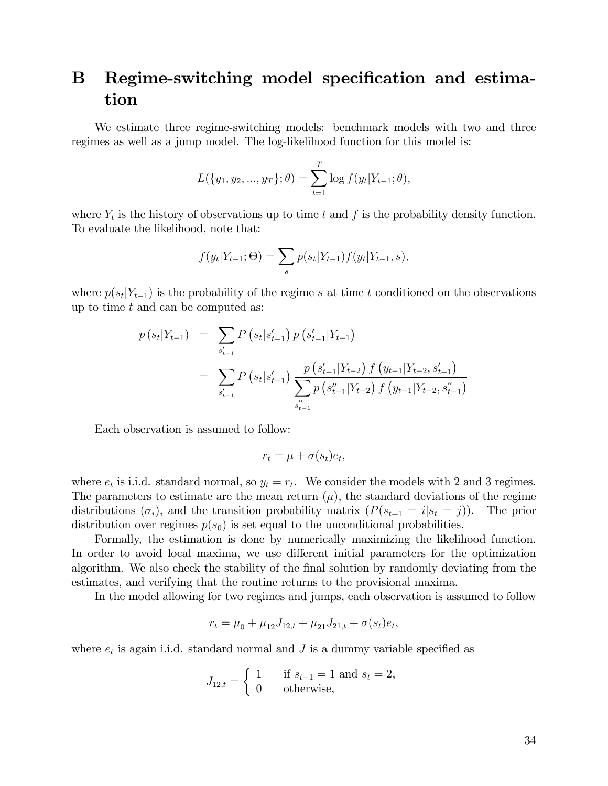## B Regime-switching model specification and estimation

We estimate three regime-switching models: benchmark models with two and three regimes as well as a jump model. The log-likelihood function for this model is:

$$
L({y_1, y_2, ..., y_T}; \theta) = \sum_{t=1}^T \log f(y_t|Y_{t-1}; \theta),
$$

where  $Y_t$  is the history of observations up to time t and f is the probability density function. To evaluate the likelihood, note that:

$$
f(y_t|Y_{t-1};\Theta) = \sum_s p(s_t|Y_{t-1}) f(y_t|Y_{t-1},s),
$$

where  $p(s_t|Y_{t-1})$  is the probability of the regime s at time t conditioned on the observations up to time  $t$  and can be computed as:

$$
p(s_t|Y_{t-1}) = \sum_{s'_{t-1}} P(s_t|s'_{t-1}) p(s'_{t-1}|Y_{t-1})
$$
  
= 
$$
\sum_{s'_{t-1}} P(s_t|s'_{t-1}) \frac{p(s'_{t-1}|Y_{t-2}) f(y_{t-1}|Y_{t-2}, s'_{t-1})}{\sum_{s''_{t-1}} p(s''_{t-1}|Y_{t-2}) f(y_{t-1}|Y_{t-2}, s''_{t-1})}
$$

Each observation is assumed to follow:

$$
r_t = \mu + \sigma(s_t)e_t,
$$

where  $e_t$  is i.i.d. standard normal, so  $y_t = r_t$ . We consider the models with 2 and 3 regimes. The parameters to estimate are the mean return  $(\mu)$ , the standard deviations of the regime distributions  $(\sigma_i)$ , and the transition probability matrix  $(P(s_{t+1} = i | s_t = j))$ . The prior distribution over regimes  $p(s_0)$  is set equal to the unconditional probabilities.

Formally, the estimation is done by numerically maximizing the likelihood function. In order to avoid local maxima, we use different initial parameters for the optimization algorithm. We also check the stability of the final solution by randomly deviating from the estimates, and verifying that the routine returns to the provisional maxima.

In the model allowing for two regimes and jumps, each observation is assumed to follow

$$
r_t = \mu_0 + \mu_{12} J_{12,t} + \mu_{21} J_{21,t} + \sigma(s_t) e_t,
$$

where  $e_t$  is again i.i.d. standard normal and  $J$  is a dummy variable specified as

$$
J_{12,t} = \begin{cases} 1 & \text{if } s_{t-1} = 1 \text{ and } s_t = 2, \\ 0 & \text{otherwise,} \end{cases}
$$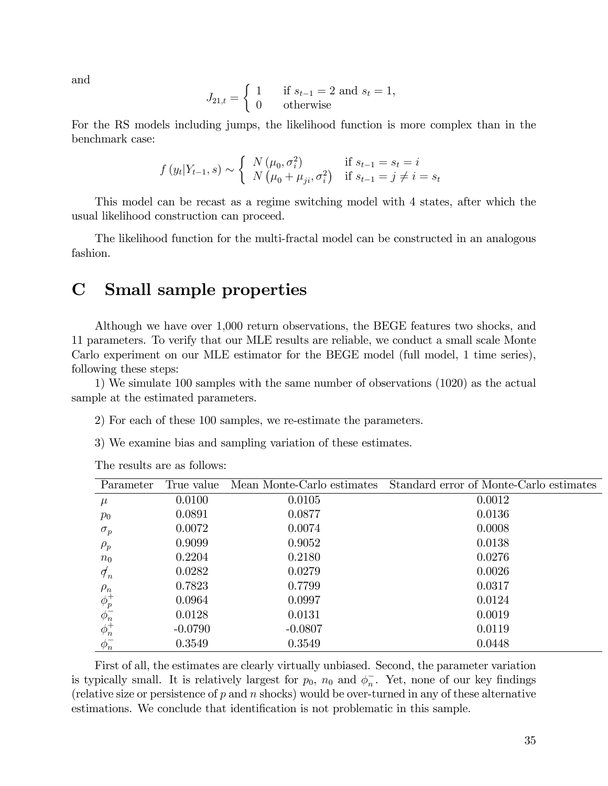and

$$
J_{21,t} = \begin{cases} 1 & \text{if } s_{t-1} = 2 \text{ and } s_t = 1, \\ 0 & \text{otherwise} \end{cases}
$$

For the RS models including jumps, the likelihood function is more complex than in the benchmark case:

$$
f(y_t|Y_{t-1}, s) \sim \begin{cases} N(\mu_0, \sigma_i^2) & \text{if } s_{t-1} = s_t = i \\ N(\mu_0 + \mu_{ji}, \sigma_i^2) & \text{if } s_{t-1} = j \neq i = s_t \end{cases}
$$

This model can be recast as a regime switching model with 4 states, after which the usual likelihood construction can proceed.

The likelihood function for the multi-fractal model can be constructed in an analogous fashion.

### C Small sample properties

Although we have over 1,000 return observations, the BEGE features two shocks, and 11 parameters. To verify that our MLE results are reliable, we conduct a small scale Monte Carlo experiment on our MLE estimator for the BEGE model (full model, 1 time series), following these steps:

1) We simulate 100 samples with the same number of observations (1020) as the actual sample at the estimated parameters.

- 2) For each of these 100 samples, we re-estimate the parameters.
- 3) We examine bias and sampling variation of these estimates.

| Parameter                              | True value |           | Mean Monte-Carlo estimates Standard error of Monte-Carlo estimates |
|----------------------------------------|------------|-----------|--------------------------------------------------------------------|
| $\mu$                                  | 0.0100     | 0.0105    | 0.0012                                                             |
| $p_0$                                  | 0.0891     | 0.0877    | 0.0136                                                             |
| $\sigma_p$                             | 0.0072     | 0.0074    | 0.0008                                                             |
| $\rho_p$                               | 0.9099     | 0.9052    | 0.0138                                                             |
| $n_0$                                  | 0.2204     | 0.2180    | 0.0276                                                             |
| $\sigma_n$                             | 0.0282     | 0.0279    | 0.0026                                                             |
| $\rho_n$                               | 0.7823     | 0.7799    | 0.0317                                                             |
| $\phi_p^+$<br>$\phi_n^-$<br>$\phi_n^+$ | 0.0964     | 0.0997    | 0.0124                                                             |
|                                        | 0.0128     | 0.0131    | 0.0019                                                             |
|                                        | $-0.0790$  | $-0.0807$ | 0.0119                                                             |
| $\phi_n^-$                             | 0.3549     | 0.3549    | 0.0448                                                             |

The results are as follows:

First of all, the estimates are clearly virtually unbiased. Second, the parameter variation is typically small. It is relatively largest for  $p_0$ ,  $n_0$  and  $\phi_n^-$ . Yet, none of our key findings (relative size or persistence of  $p$  and  $n$  shocks) would be over-turned in any of these alternative estimations. We conclude that identification is not problematic in this sample.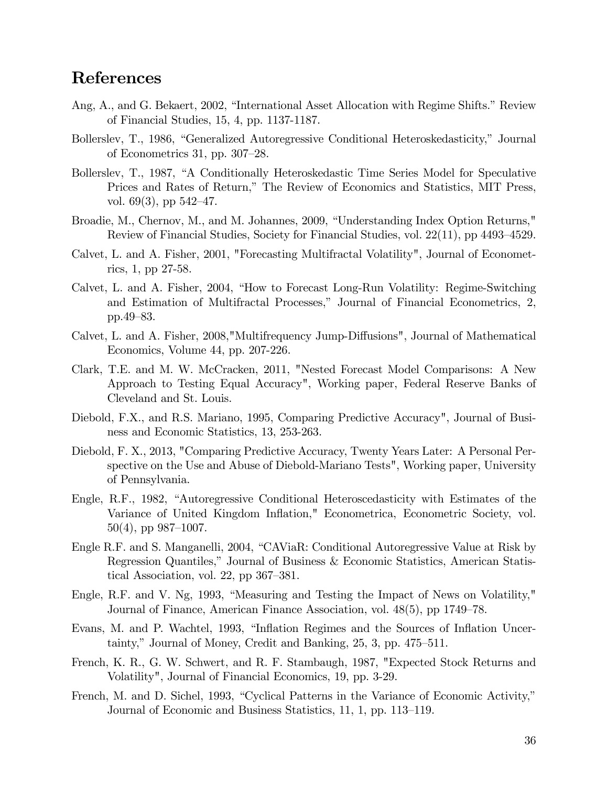### References

- Ang, A., and G. Bekaert, 2002, "International Asset Allocation with Regime Shifts." Review of Financial Studies, 15, 4, pp. 1137-1187.
- Bollerslev, T., 1986, "Generalized Autoregressive Conditional Heteroskedasticity," Journal of Econometrics 31, pp.  $307-28$ .
- Bollerslev, T., 1987, "A Conditionally Heteroskedastic Time Series Model for Speculative Prices and Rates of Return," The Review of Economics and Statistics, MIT Press, vol. 69(3), pp  $542-47$ .
- Broadie, M., Chernov, M., and M. Johannes, 2009, "Understanding Index Option Returns," Review of Financial Studies, Society for Financial Studies, vol.  $22(11)$ , pp 4493–4529.
- Calvet, L. and A. Fisher, 2001, "Forecasting Multifractal Volatility", Journal of Econometrics, 1, pp 27-58.
- Calvet, L. and A. Fisher, 2004, "How to Forecast Long-Run Volatility: Regime-Switching and Estimation of Multifractal Processes," Journal of Financial Econometrics, 2, pp.49 $-83$ .
- Calvet, L. and A. Fisher, 2008,"Multifrequency Jump-Diffusions", Journal of Mathematical Economics, Volume 44, pp. 207-226.
- Clark, T.E. and M. W. McCracken, 2011, "Nested Forecast Model Comparisons: A New Approach to Testing Equal Accuracy", Working paper, Federal Reserve Banks of Cleveland and St. Louis.
- Diebold, F.X., and R.S. Mariano, 1995, Comparing Predictive Accuracy", Journal of Business and Economic Statistics, 13, 253-263.
- Diebold, F. X., 2013, "Comparing Predictive Accuracy, Twenty Years Later: A Personal Perspective on the Use and Abuse of Diebold-Mariano Tests", Working paper, University of Pennsylvania.
- Engle, R.F., 1982, "Autoregressive Conditional Heteroscedasticity with Estimates of the Variance of United Kingdom Inflation," Econometrica, Econometric Society, vol.  $50(4)$ , pp 987–1007.
- Engle R.F. and S. Manganelli, 2004, "CAViaR: Conditional Autoregressive Value at Risk by Regression Quantiles," Journal of Business & Economic Statistics, American Statistical Association, vol. 22, pp  $367-381$ .
- Engle, R.F. and V. Ng,  $1993$ , "Measuring and Testing the Impact of News on Volatility," Journal of Finance, American Finance Association, vol. 48(5), pp 1749–78.
- Evans, M. and P. Wachtel, 1993, "Inflation Regimes and the Sources of Inflation Uncertainty," Journal of Money, Credit and Banking,  $25, 3$ , pp.  $475-511$ .
- French, K. R., G. W. Schwert, and R. F. Stambaugh, 1987, "Expected Stock Returns and Volatility", Journal of Financial Economics, 19, pp. 3-29.
- French, M. and D. Sichel, 1993, "Cyclical Patterns in the Variance of Economic Activity," Journal of Economic and Business Statistics, 11, 1, pp. 113–119.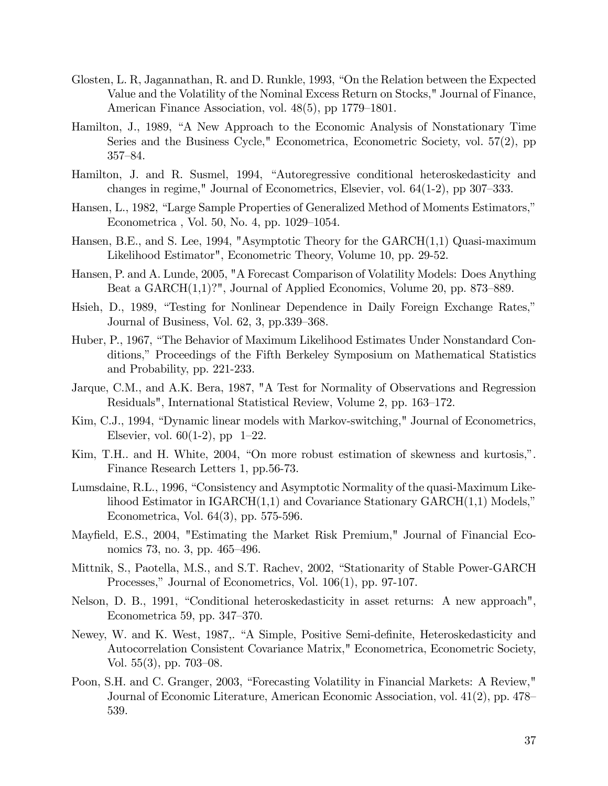- Glosten, L. R., Jagannathan, R. and D. Runkle, 1993, "On the Relation between the Expected Value and the Volatility of the Nominal Excess Return on Stocks," Journal of Finance, American Finance Association, vol.  $48(5)$ , pp 1779–1801.
- Hamilton, J., 1989, "A New Approach to the Economic Analysis of Nonstationary Time Series and the Business Cycle," Econometrica, Econometric Society, vol. 57(2), pp  $357 - 84.$
- Hamilton, J. and R. Susmel, 1994, "Autoregressive conditional heteroskedasticity and changes in regime," Journal of Econometrics, Elsevier, vol.  $64(1-2)$ , pp 307–333.
- Hansen, L., 1982, "Large Sample Properties of Generalized Method of Moments Estimators," Econometrica, Vol. 50, No. 4, pp.  $1029-1054$ .
- Hansen, B.E., and S. Lee, 1994, "Asymptotic Theory for the GARCH(1,1) Quasi-maximum Likelihood Estimator", Econometric Theory, Volume 10, pp. 29-52.
- Hansen, P. and A. Lunde, 2005, "A Forecast Comparison of Volatility Models: Does Anything Beat a  $GARCH(1,1)$ ?", Journal of Applied Economics, Volume 20, pp. 873–889.
- Hsieh, D., 1989, "Testing for Nonlinear Dependence in Daily Foreign Exchange Rates," Journal of Business, Vol.  $62, 3$ , pp.  $339-368$ .
- Huber, P., 1967, "The Behavior of Maximum Likelihood Estimates Under Nonstandard Conditions,î Proceedings of the Fifth Berkeley Symposium on Mathematical Statistics and Probability, pp. 221-233.
- Jarque, C.M., and A.K. Bera, 1987, "A Test for Normality of Observations and Regression Residuals", International Statistical Review, Volume 2, pp. 163–172.
- Kim, C.J., 1994, "Dynamic linear models with Markov-switching," Journal of Econometrics, Elsevier, vol.  $60(1-2)$ , pp  $1-22$ .
- Kim, T.H.. and H. White, 2004, "On more robust estimation of skewness and kurtosis,". Finance Research Letters 1, pp.56-73.
- Lumsdaine, R.L., 1996, "Consistency and Asymptotic Normality of the quasi-Maximum Likelihood Estimator in  $IGARCH(1,1)$  and Covariance Stationary  $GARCH(1,1)$  Models," Econometrica, Vol. 64(3), pp. 575-596.
- Mayfield, E.S., 2004, "Estimating the Market Risk Premium," Journal of Financial Economics 73, no. 3, pp. 465–496.
- Mittnik, S., Paotella, M.S., and S.T. Rachev, 2002, "Stationarity of Stable Power-GARCH Processes," Journal of Econometrics, Vol.  $106(1)$ , pp. 97-107.
- Nelson, D. B., 1991, "Conditional heteroskedasticity in asset returns: A new approach", Econometrica 59, pp.  $347-370$ .
- Newey, W. and K. West, 1987,. "A Simple, Positive Semi-definite, Heteroskedasticity and Autocorrelation Consistent Covariance Matrix," Econometrica, Econometric Society, Vol.  $55(3)$ , pp.  $703-08$ .
- Poon, S.H. and C. Granger, 2003, "Forecasting Volatility in Financial Markets: A Review," Journal of Economic Literature, American Economic Association, vol. 41(2), pp. 478 539.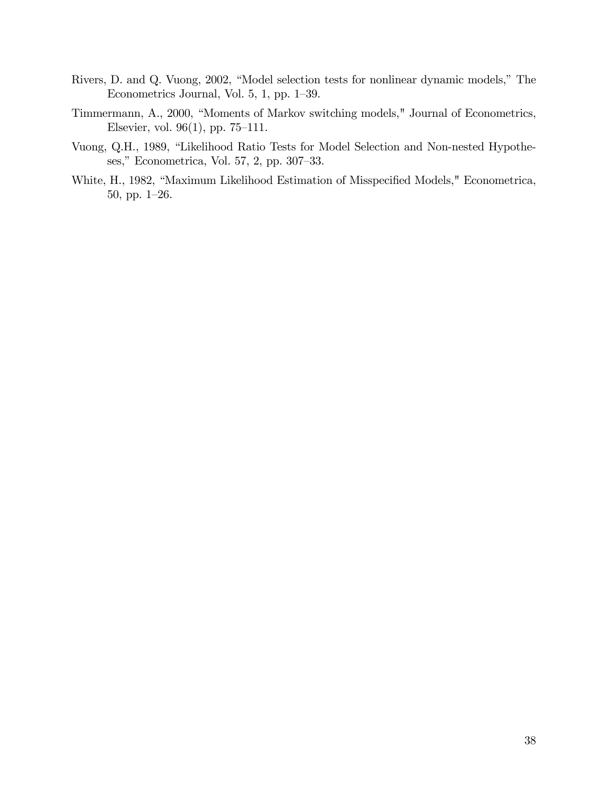- Rivers, D. and Q. Vuong, 2002, "Model selection tests for nonlinear dynamic models," The Econometrics Journal, Vol.  $5, 1, pp. 1-39$ .
- Timmermann, A., 2000, "Moments of Markov switching models," Journal of Econometrics, Elsevier, vol.  $96(1)$ , pp. 75–111.
- Vuong, Q.H., 1989, "Likelihood Ratio Tests for Model Selection and Non-nested Hypotheses," Econometrica, Vol. 57, 2, pp. 307–33.
- White, H., 1982, "Maximum Likelihood Estimation of Misspecified Models," Econometrica, 50, pp.  $1-26$ .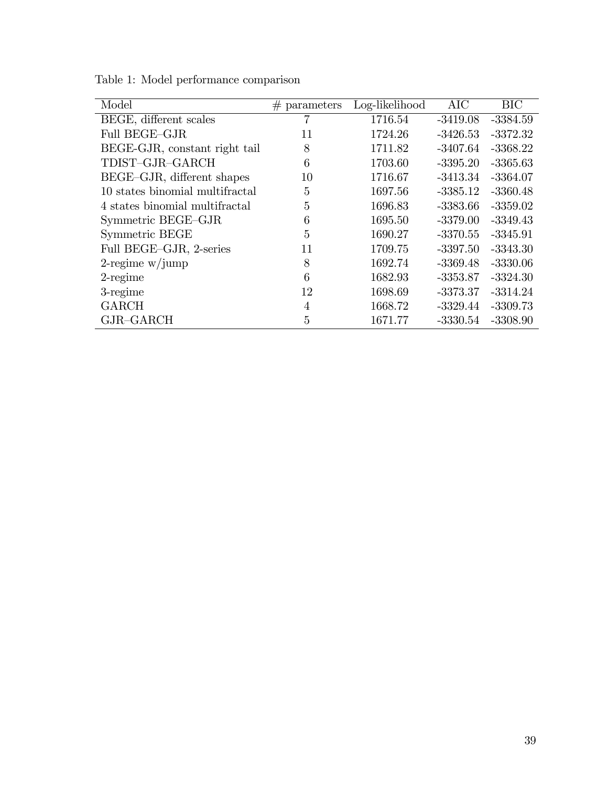| Model                           | $#$ parameters | Log-likelihood | <b>AIC</b> | <b>BIC</b> |
|---------------------------------|----------------|----------------|------------|------------|
| BEGE, different scales          |                | 1716.54        | $-3419.08$ | $-3384.59$ |
| Full BEGE-GJR                   | 11             | 1724.26        | $-3426.53$ | $-3372.32$ |
| BEGE-GJR, constant right tail   | 8              | 1711.82        | $-3407.64$ | $-3368.22$ |
| TDIST-GJR-GARCH                 | 6              | 1703.60        | $-3395.20$ | $-3365.63$ |
| BEGE-GJR, different shapes      | 10             | 1716.67        | $-3413.34$ | -3364.07   |
| 10 states binomial multifractal | 5              | 1697.56        | -3385.12   | $-3360.48$ |
| 4 states binomial multifractal  | 5              | 1696.83        | $-3383.66$ | $-3359.02$ |
| Symmetric BEGE-GJR              | 6              | 1695.50        | $-3379.00$ | $-3349.43$ |
| Symmetric BEGE                  | 5              | 1690.27        | $-3370.55$ | $-3345.91$ |
| Full BEGE-GJR, 2-series         | 11             | 1709.75        | $-3397.50$ | $-3343.30$ |
| $2$ -regime w/jump              | 8              | 1692.74        | $-3369.48$ | $-3330.06$ |
| $2$ -regime                     | 6              | 1682.93        | $-3353.87$ | $-3324.30$ |
| $3$ -regime                     | 12             | 1698.69        | $-3373.37$ | $-3314.24$ |
| <b>GARCH</b>                    | 4              | 1668.72        | $-3329.44$ | $-3309.73$ |
| GJR-GARCH                       | 5              | 1671.77        | $-3330.54$ | $-3308.90$ |

Table 1: Model performance comparison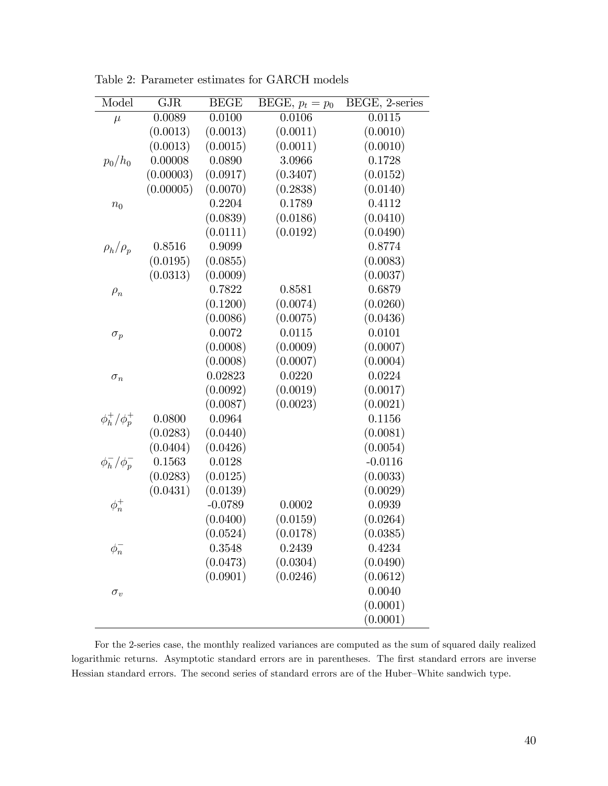| Model               | <b>GJR</b> | <b>BEGE</b> | $\overline{\text{BE}}\text{GE}, p_t = p_0$ | BEGE, 2-series |
|---------------------|------------|-------------|--------------------------------------------|----------------|
| $\mu$               | 0.0089     | 0.0100      | 0.0106                                     | 0.0115         |
|                     | (0.0013)   | (0.0013)    | (0.0011)                                   | (0.0010)       |
|                     | (0.0013)   | (0.0015)    | (0.0011)                                   | (0.0010)       |
| $p_0/h_0$           | 0.00008    | 0.0890      | 3.0966                                     | 0.1728         |
|                     | (0.00003)  | (0.0917)    | (0.3407)                                   | (0.0152)       |
|                     | (0.00005)  | (0.0070)    | (0.2838)                                   | (0.0140)       |
| $n_0$               |            | 0.2204      | 0.1789                                     | 0.4112         |
|                     |            | (0.0839)    | (0.0186)                                   | (0.0410)       |
|                     |            | (0.0111)    | (0.0192)                                   | (0.0490)       |
| $\rho_h/\rho_p$     | 0.8516     | 0.9099      |                                            | 0.8774         |
|                     | (0.0195)   | (0.0855)    |                                            | (0.0083)       |
|                     | (0.0313)   | (0.0009)    |                                            | (0.0037)       |
| $\rho_n$            |            | 0.7822      | 0.8581                                     | 0.6879         |
|                     |            | (0.1200)    | (0.0074)                                   | (0.0260)       |
|                     |            | (0.0086)    | (0.0075)                                   | (0.0436)       |
| $\sigma_p$          |            | 0.0072      | 0.0115                                     | 0.0101         |
|                     |            | (0.0008)    | (0.0009)                                   | (0.0007)       |
|                     |            | (0.0008)    | (0.0007)                                   | (0.0004)       |
| $\sigma_n$          |            | 0.02823     | 0.0220                                     | 0.0224         |
|                     |            | (0.0092)    | (0.0019)                                   | (0.0017)       |
|                     |            | (0.0087)    | (0.0023)                                   | (0.0021)       |
| $\phi_h^+/\phi_p^+$ | 0.0800     | 0.0964      |                                            | 0.1156         |
|                     | (0.0283)   | (0.0440)    |                                            | (0.0081)       |
|                     | (0.0404)   | (0.0426)    |                                            | (0.0054)       |
| $\phi_h^-/\phi_p^-$ | 0.1563     | 0.0128      |                                            | $-0.0116$      |
|                     | (0.0283)   | (0.0125)    |                                            | (0.0033)       |
|                     | (0.0431)   | (0.0139)    |                                            | (0.0029)       |
| $\phi_n^+$          |            | $-0.0789$   | 0.0002                                     | 0.0939         |
|                     |            | (0.0400)    | (0.0159)                                   | (0.0264)       |
|                     |            | (0.0524)    | (0.0178)                                   | (0.0385)       |
| $\phi_n^-$          |            | 0.3548      | 0.2439                                     | 0.4234         |
|                     |            | (0.0473)    | (0.0304)                                   | (0.0490)       |
|                     |            | (0.0901)    | (0.0246)                                   | (0.0612)       |
| $\sigma_v$          |            |             |                                            | 0.0040         |
|                     |            |             |                                            | (0.0001)       |
|                     |            |             |                                            | (0.0001)       |

Table 2: Parameter estimates for GARCH models

For the 2-series case, the monthly realized variances are computed as the sum of squared daily realized logarithmic returns. Asymptotic standard errors are in parentheses. The first standard errors are inverse Hessian standard errors. The second series of standard errors are of the Huber–White sandwich type.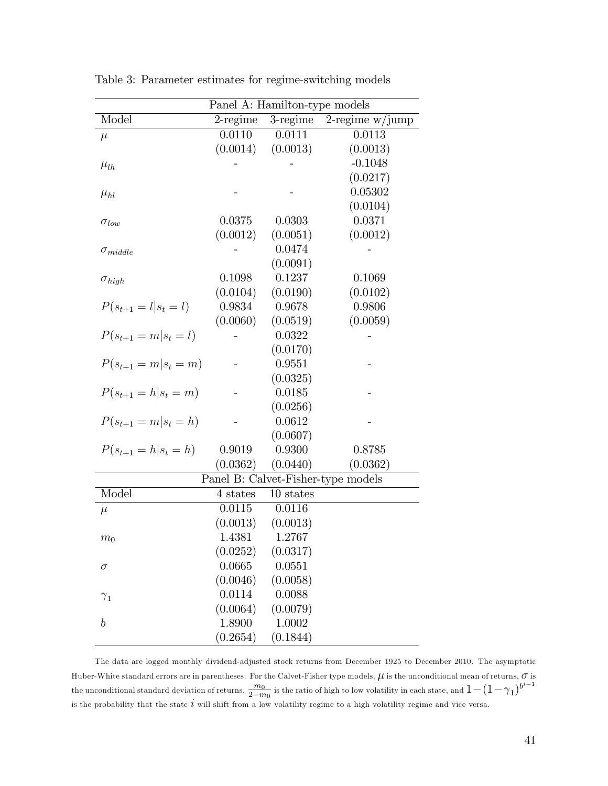|                            | Panel A: Hamilton-type models |             |                                    |  |  |
|----------------------------|-------------------------------|-------------|------------------------------------|--|--|
| Model                      | $2$ -regime                   | $3$ -regime | $2$ -regime w/jump                 |  |  |
| $\mu$                      | 0.0110                        | 0.0111      | 0.0113                             |  |  |
|                            | (0.0014)                      | (0.0013)    | (0.0013)                           |  |  |
| $\mu_{lh}$                 |                               |             | $-0.1048$                          |  |  |
|                            |                               |             | (0.0217)                           |  |  |
| $\mu_{hl}$                 |                               |             | 0.05302                            |  |  |
|                            |                               |             | (0.0104)                           |  |  |
| $\sigma_{low}$             | 0.0375                        | 0.0303      | 0.0371                             |  |  |
|                            | (0.0012)                      | (0.0051)    | (0.0012)                           |  |  |
| $\sigma_{middle}$          |                               | 0.0474      |                                    |  |  |
|                            |                               | (0.0091)    |                                    |  |  |
| $\sigma_{high}$            | 0.1098                        | 0.1237      | 0.1069                             |  |  |
|                            | (0.0104)                      | (0.0190)    | (0.0102)                           |  |  |
| $P(s_{t+1} = l   s_t = l)$ | 0.9834                        | 0.9678      | 0.9806                             |  |  |
|                            | (0.0060)                      | (0.0519)    | (0.0059)                           |  |  |
| $P(s_{t+1} = m   s_t = l)$ |                               | 0.0322      |                                    |  |  |
|                            |                               | (0.0170)    |                                    |  |  |
| $P(s_{t+1} = m   s_t = m)$ |                               | 0.9551      |                                    |  |  |
|                            |                               | (0.0325)    |                                    |  |  |
| $P(s_{t+1} = h   s_t = m)$ |                               | 0.0185      |                                    |  |  |
|                            |                               | (0.0256)    |                                    |  |  |
| $P(s_{t+1} = m   s_t = h)$ |                               | 0.0612      |                                    |  |  |
|                            |                               | (0.0607)    |                                    |  |  |
| $P(s_{t+1} = h   s_t = h)$ | 0.9019                        | 0.9300      | 0.8785                             |  |  |
|                            | (0.0362)                      | (0.0440)    | (0.0362)                           |  |  |
|                            |                               |             | Panel B: Calvet-Fisher-type models |  |  |
| Model                      | 4 states                      | 10 states   |                                    |  |  |
| $\mu$                      | 0.0115                        | 0.0116      |                                    |  |  |
|                            | (0.0013)                      | (0.0013)    |                                    |  |  |
| m <sub>0</sub>             | 1.4381                        | 1.2767      |                                    |  |  |
|                            | (0.0252)                      | (0.0317)    |                                    |  |  |
| σ                          | 0.0665                        | 0.0551      |                                    |  |  |
|                            | (0.0046)                      | (0.0058)    |                                    |  |  |
| $\gamma_1$                 | 0.0114                        | 0.0088      |                                    |  |  |
|                            | (0.0064)                      | (0.0079)    |                                    |  |  |
| $\boldsymbol{b}$           | 1.8900                        | 1.0002      |                                    |  |  |
|                            | (0.2654)                      | (0.1844)    |                                    |  |  |

Table 3: Parameter estimates for regime-switching models

The data are logged monthly dividend-adjusted stock returns from December 1925 to December 2010. The asymptotic Huber-White standard errors are in parentheses. For the Calvet-Fisher type models,  $\mu$  is the unconditional mean of returns,  $\sigma$  is the unconditional standard deviation of returns,  $\frac{m_0}{2-m_0}$  is the ratio of high to low volatility in each state, and  $1-(1-\gamma_1)^{b^{i-1}}$ is the probability that the state  $i$  will shift from a low volatility regime to a high volatility regime and vice versa.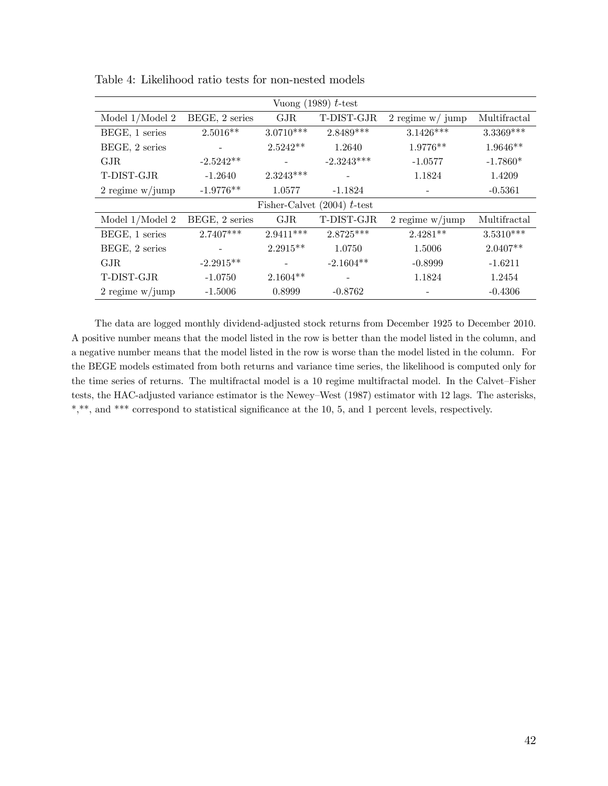| Vuong (1989) $t$ -test |                |             |                               |                    |              |  |  |
|------------------------|----------------|-------------|-------------------------------|--------------------|--------------|--|--|
| Model $1/M$ odel $2$   | BEGE, 2 series | GJR         | T-DIST-GJR                    | $2$ regime w/ jump | Multifractal |  |  |
| BEGE, 1 series         | $2.5016**$     | $3.0710***$ | 2.8489***                     | $3.1426***$        | $3.3369***$  |  |  |
| BEGE, 2 series         |                | $2.5242**$  | 1.2640                        | 1.9776**           | $1.9646**$   |  |  |
| GJR                    | $-2.5242**$    |             | $-2.3243***$                  | $-1.0577$          | $-1.7860*$   |  |  |
| T-DIST-GJR             | $-1.2640$      | $2.3243***$ |                               | 1.1824             | 1.4209       |  |  |
| 2 regime $w/jump$      | $-1.9776**$    | 1.0577      | $-1.1824$                     |                    | $-0.5361$    |  |  |
|                        |                |             | Fisher-Calvet $(2004)$ t-test |                    |              |  |  |
| Model $1/M$ odel $2$   | BEGE, 2 series | GJR         | $\operatorname{T-DIST-GJR}$   | 2 regime $w/jump$  | Multifractal |  |  |
| BEGE, 1 series         | 2.7407***      | $2.9411***$ | 2.8725***                     | $2.4281**$         | $3.5310***$  |  |  |
| BEGE, 2 series         |                | $2.2915**$  | 1.0750                        | 1.5006             | $2.0407**$   |  |  |
| GJR                    | $-2.2915**$    |             | $-2.1604**$                   | $-0.8999$          | $-1.6211$    |  |  |
| T-DIST-GJR             | $-1.0750$      | $2.1604**$  |                               | 1.1824             | 1.2454       |  |  |
| 2 regime $w/_j$ ump    | $-1.5006$      | 0.8999      | $-0.8762$                     |                    | $-0.4306$    |  |  |

Table 4: Likelihood ratio tests for non-nested models

The data are logged monthly dividend-adjusted stock returns from December 1925 to December 2010. A positive number means that the model listed in the row is better than the model listed in the column, and a negative number means that the model listed in the row is worse than the model listed in the column. For the BEGE models estimated from both returns and variance time series, the likelihood is computed only for the time series of returns. The multifractal model is a 10 regime multifractal model. In the Calvet–Fisher tests, the HAC-adjusted variance estimator is the Newey-West (1987) estimator with 12 lags. The asterisks, \*,\*\*, and \*\*\* correspond to statistical significance at the 10, 5, and 1 percent levels, respectively.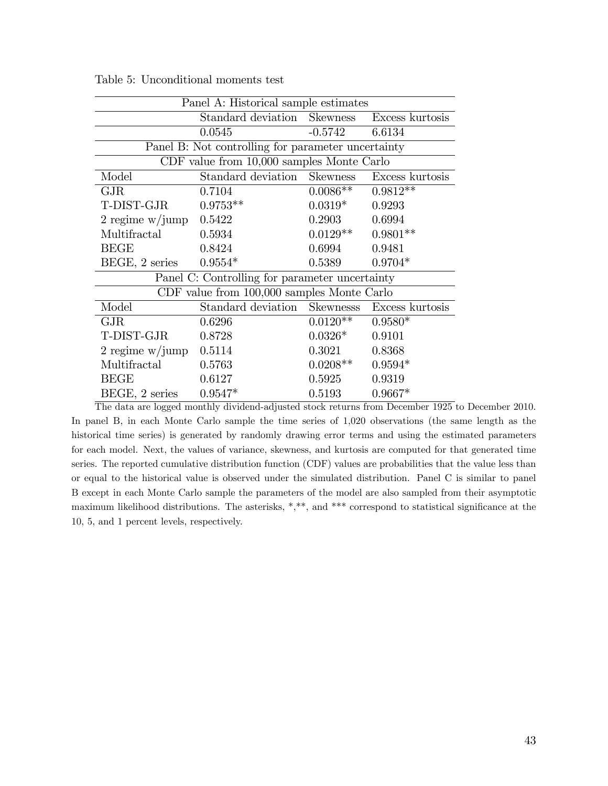|                                                    | Panel A: Historical sample estimates           |            |                 |  |  |  |  |  |
|----------------------------------------------------|------------------------------------------------|------------|-----------------|--|--|--|--|--|
|                                                    | Standard deviation Skewness                    |            | Excess kurtosis |  |  |  |  |  |
|                                                    | 0.0545                                         | $-0.5742$  | 6.6134          |  |  |  |  |  |
| Panel B: Not controlling for parameter uncertainty |                                                |            |                 |  |  |  |  |  |
|                                                    | CDF value from 10,000 samples Monte Carlo      |            |                 |  |  |  |  |  |
| Model                                              | Standard deviation Skewness                    |            | Excess kurtosis |  |  |  |  |  |
| GJR                                                | 0.7104                                         | $0.0086**$ | $0.9812**$      |  |  |  |  |  |
| T-DIST-GJR                                         | $0.9753**$                                     | $0.0319*$  | 0.9293          |  |  |  |  |  |
| 2 regime $w/jump$                                  | 0.5422                                         | 0.2903     | 0.6994          |  |  |  |  |  |
| Multifractal                                       | 0.5934                                         | $0.0129**$ | $0.9801**$      |  |  |  |  |  |
| <b>BEGE</b>                                        | 0.8424                                         | 0.6994     | 0.9481          |  |  |  |  |  |
| BEGE, 2 series                                     | $0.9554*$                                      | 0.5389     | $0.9704*$       |  |  |  |  |  |
|                                                    | Panel C: Controlling for parameter uncertainty |            |                 |  |  |  |  |  |
|                                                    | CDF value from 100,000 samples Monte Carlo     |            |                 |  |  |  |  |  |
| Model                                              | Standard deviation Skewnesss                   |            | Excess kurtosis |  |  |  |  |  |
| <b>GJR</b>                                         | 0.6296                                         | $0.0120**$ | $0.9580*$       |  |  |  |  |  |
| T-DIST-GJR                                         | 0.8728                                         | $0.0326*$  | 0.9101          |  |  |  |  |  |
| 2 regime $w/jump$                                  | 0.5114                                         | 0.3021     | 0.8368          |  |  |  |  |  |
| Multifractal                                       | 0.5763                                         | $0.0208**$ | $0.9594*$       |  |  |  |  |  |
| <b>BEGE</b>                                        | 0.6127                                         | 0.5925     | 0.9319          |  |  |  |  |  |
| BEGE, 2 series                                     | $0.9547*$                                      | 0.5193     | $0.9667*$       |  |  |  |  |  |

Table 5: Unconditional moments test

The data are logged monthly dividend-adjusted stock returns from December 1925 to December 2010. In panel B, in each Monte Carlo sample the time series of 1,020 observations (the same length as the historical time series) is generated by randomly drawing error terms and using the estimated parameters for each model. Next, the values of variance, skewness, and kurtosis are computed for that generated time series. The reported cumulative distribution function (CDF) values are probabilities that the value less than or equal to the historical value is observed under the simulated distribution. Panel C is similar to panel B except in each Monte Carlo sample the parameters of the model are also sampled from their asymptotic maximum likelihood distributions. The asterisks,  $*,**$ , and  $***$  correspond to statistical significance at the 10, 5, and 1 percent levels, respectively.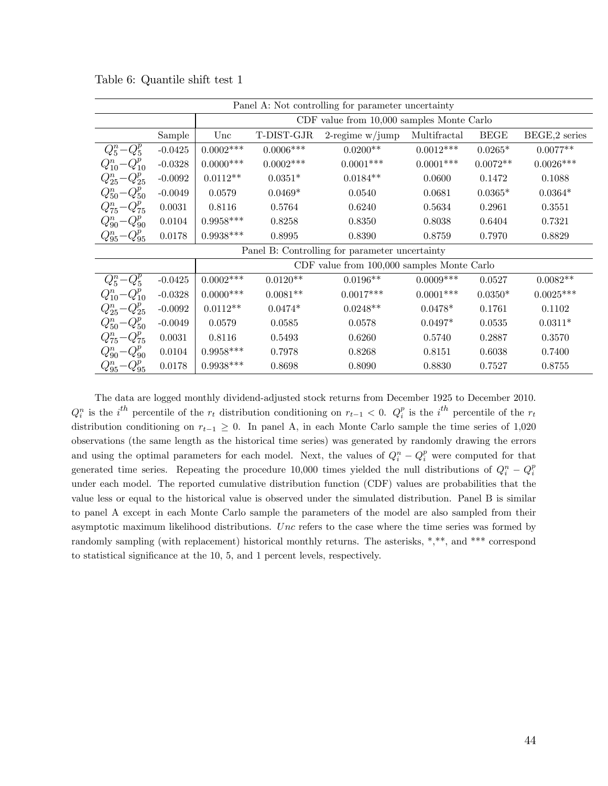| Panel A: Not controlling for parameter uncertainty |           |                                                |                                               |                    |              |             |               |  |  |
|----------------------------------------------------|-----------|------------------------------------------------|-----------------------------------------------|--------------------|--------------|-------------|---------------|--|--|
|                                                    |           |                                                | $CDF$ value from $10,000$ samples Monte Carlo |                    |              |             |               |  |  |
|                                                    | Sample    | Unc                                            | T-DIST-GJR                                    | $2$ -regime w/jump | Multifractal | <b>BEGE</b> | BEGE,2 series |  |  |
| $Q_5^n - Q_5^p$                                    | $-0.0425$ | $0.0002***$                                    | $0.0006***$                                   | $0.0200**$         | $0.0012***$  | $0.0265*$   | $0.0077**$    |  |  |
| $Q_{10}^n - Q_{10}^p$                              | $-0.0328$ | $0.0000$ ***                                   | $0.0002***$                                   | $0.0001***$        | $0.0001***$  | $0.0072**$  | $0.0026***$   |  |  |
| $Q_{25}^n - Q_{25}^p$                              | $-0.0092$ | $0.0112**$                                     | $0.0351*$                                     | $0.0184**$         | 0.0600       | 0.1472      | 0.1088        |  |  |
| $Q_{50}^n - Q_{50}^p$                              | $-0.0049$ | 0.0579                                         | $0.0469*$                                     | 0.0540             | 0.0681       | $0.0365*$   | $0.0364*$     |  |  |
| $Q_{75}^n - Q_{75}^p$                              | 0.0031    | 0.8116                                         | 0.5764                                        | 0.6240             | 0.5634       | 0.2961      | 0.3551        |  |  |
| $Q_{90}^n - Q_{90}^p$                              | 0.0104    | $0.9958***$                                    | 0.8258                                        | 0.8350             | 0.8038       | 0.6404      | 0.7321        |  |  |
| $Q_{95}^n - Q_{95}^p$                              | 0.0178    | $0.9938***$                                    | 0.8995                                        | 0.8390             | 0.8759       | 0.7970      | 0.8829        |  |  |
|                                                    |           | Panel B: Controlling for parameter uncertainty |                                               |                    |              |             |               |  |  |
|                                                    |           |                                                | CDF value from 100,000 samples Monte Carlo    |                    |              |             |               |  |  |
| $Q_5^n - Q_5^p$                                    | $-0.0425$ | $0.0002***$                                    | $0.0120^{\ast\ast}$                           | $0.0196**$         | $0.0009***$  | 0.0527      | $0.0082**$    |  |  |
| $Q_{10}^n - Q_{10}^p$                              | $-0.0328$ | $0.0000$ ***                                   | $0.0081**$                                    | $0.0017***$        | $0.0001***$  | $0.0350*$   | $0.0025***$   |  |  |
| $Q_{25}^n - Q_{25}^p$                              | $-0.0092$ | $0.0112**$                                     | $0.0474*$                                     | $0.0248**$         | $0.0478*$    | 0.1761      | 0.1102        |  |  |
| $Q_{50}^n - Q_{50}^p$                              | $-0.0049$ | 0.0579                                         | 0.0585                                        | 0.0578             | $0.0497*$    | 0.0535      | $0.0311*$     |  |  |
| $Q_{75}^n - Q_{75}^p$                              | 0.0031    | 0.8116                                         | 0.5493                                        | 0.6260             | 0.5740       | 0.2887      | 0.3570        |  |  |
| $Q_{90}^n - Q_{90}^p$                              | 0.0104    | $0.9958***$                                    | 0.7978                                        | 0.8268             | 0.8151       | 0.6038      | 0.7400        |  |  |
| $Q_{95}^n - Q_{95}^p$                              | 0.0178    | $0.9938***$                                    | 0.8698                                        | 0.8090             | 0.8830       | 0.7527      | 0.8755        |  |  |

Table 6: Quantile shift test 1

The data are logged monthly dividend-adjusted stock returns from December 1925 to December 2010.  $Q_i^n$  is the  $i^{th}$  percentile of the  $r_t$  distribution conditioning on  $r_{t-1} < 0$ .  $Q_i^p$  is the  $i^{th}$  percentile of the  $r_t$ distribution conditioning on  $r_{t-1} \geq 0$ . In panel A, in each Monte Carlo sample the time series of 1,020 observations (the same length as the historical time series) was generated by randomly drawing the errors and using the optimal parameters for each model. Next, the values of  $Q_i^n - Q_i^p$  were computed for that generated time series. Repeating the procedure 10,000 times yielded the null distributions of  $Q_i^n - Q_i^n$ under each model. The reported cumulative distribution function (CDF) values are probabilities that the value less or equal to the historical value is observed under the simulated distribution. Panel B is similar to panel A except in each Monte Carlo sample the parameters of the model are also sampled from their asymptotic maximum likelihood distributions. Unc refers to the case where the time series was formed by randomly sampling (with replacement) historical monthly returns. The asterisks, \*,\*\*, and \*\*\* correspond to statistical significance at the 10, 5, and 1 percent levels, respectively.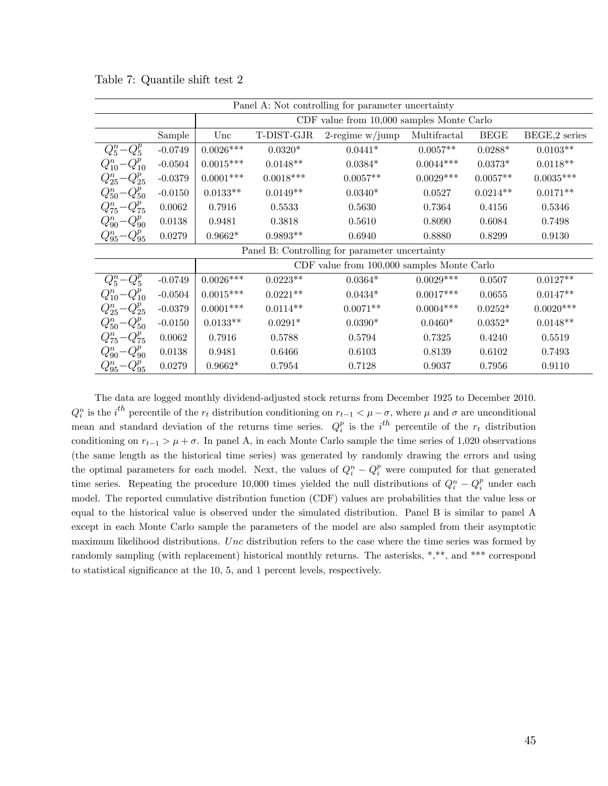| Panel A: Not controlling for parameter uncertainty |           |                                                |                                               |                                                |              |             |               |  |  |
|----------------------------------------------------|-----------|------------------------------------------------|-----------------------------------------------|------------------------------------------------|--------------|-------------|---------------|--|--|
|                                                    |           |                                                | $CDF$ value from $10,000$ samples Monte Carlo |                                                |              |             |               |  |  |
|                                                    | Sample    | Unc                                            | $\operatorname{T-DIST-GJR}$                   | $2$ -regime w/jump                             | Multifractal | <b>BEGE</b> | BEGE,2 series |  |  |
| $Q_5^n - Q_5^p$                                    | $-0.0749$ | $0.0026***$                                    | $0.0320*$                                     | $0.0441*$                                      | $0.0057**$   | $0.0288*$   | $0.0103**$    |  |  |
| $Q_{10}^n - Q_{10}^p$                              | $-0.0504$ | $0.0015***$                                    | $0.0148**$                                    | $0.0384*$                                      | $0.0044***$  | $0.0373*$   | $0.0118**$    |  |  |
| $Q_{25}^n - Q_{25}^p$                              | $-0.0379$ | $0.0001***$                                    | $0.0018***$                                   | $0.0057**$                                     | $0.0029***$  | $0.0057**$  | $0.0035***$   |  |  |
| $Q_{50}^n - Q_{50}^p$                              | $-0.0150$ | $0.0133**$                                     | $0.0149**$                                    | $0.0340*$                                      | 0.0527       | $0.0214**$  | $0.0171**$    |  |  |
| $Q_{75}^n - Q_{75}^p$                              | 0.0062    | 0.7916                                         | 0.5533                                        | 0.5630                                         | 0.7364       | 0.4156      | 0.5346        |  |  |
| $Q_{90}^n - Q_{90}^p$                              | 0.0138    | 0.9481                                         | 0.3818                                        | 0.5610                                         | 0.8090       | 0.6084      | 0.7498        |  |  |
| $Q_{95}^n - Q_{95}^p$                              | 0.0279    | $0.9662*$                                      | $0.9893**$                                    | 0.6940                                         | 0.8880       | 0.8299      | 0.9130        |  |  |
|                                                    |           | Panel B: Controlling for parameter uncertainty |                                               |                                                |              |             |               |  |  |
|                                                    |           |                                                |                                               | $CDF$ value from $100,000$ samples Monte Carlo |              |             |               |  |  |
| $Q_5^n - Q_5^p$                                    | $-0.0749$ | $0.0026***$                                    | $0.0223**$                                    | $0.0364*$                                      | $0.0029***$  | 0.0507      | $0.0127**$    |  |  |
| $Q_{10}^n - Q_{10}^p$                              | $-0.0504$ | $0.0015***$                                    | $0.0221**$                                    | $0.0434*$                                      | $0.0017***$  | 0.0655      | $0.0147**$    |  |  |
| $Q_{25}^n - Q_{25}^p$                              | $-0.0379$ | $0.0001***$                                    | $0.0114**$                                    | $0.0071**$                                     | $0.0004***$  | $0.0252*$   | $0.0020***$   |  |  |
| $Q_{50}^n - Q_{50}^p$                              | $-0.0150$ | $0.0133**$                                     | $0.0291*$                                     | $0.0390*$                                      | $0.0460*$    | $0.0352*$   | $0.0148**$    |  |  |
| $Q_{75}^n - Q_{75}^p$                              | 0.0062    | 0.7916                                         | 0.5788                                        | 0.5794                                         | 0.7325       | 0.4240      | 0.5519        |  |  |
| $Q_{90}^n - Q_{90}^p$                              | 0.0138    | 0.9481                                         | 0.6466                                        | 0.6103                                         | 0.8139       | 0.6102      | 0.7493        |  |  |
| $Q_{95}^n – Q_{95}^p$                              | 0.0279    | $0.9662*$                                      | 0.7954                                        | 0.7128                                         | 0.9037       | 0.7956      | 0.9110        |  |  |

Table 7: Quantile shift test 2

The data are logged monthly dividend-adjusted stock returns from December 1925 to December 2010.  $Q_i^n$  is the  $i^{th}$  percentile of the  $r_t$  distribution conditioning on  $r_{t-1} < \mu - \sigma$ , where  $\mu$  and  $\sigma$  are unconditional mean and standard deviation of the returns time series.  $Q_i^p$  is the  $i^{th}$  percentile of the  $r_t$  distribution conditioning on  $r_{t-1} > \mu + \sigma$ . In panel A, in each Monte Carlo sample the time series of 1,020 observations (the same length as the historical time series) was generated by randomly drawing the errors and using the optimal parameters for each model. Next, the values of  $Q_i^n - Q_i^p$  were computed for that generated time series. Repeating the procedure 10,000 times yielded the null distributions of  $Q_i^n - Q_i^p$  under each model. The reported cumulative distribution function (CDF) values are probabilities that the value less or equal to the historical value is observed under the simulated distribution. Panel B is similar to panel A except in each Monte Carlo sample the parameters of the model are also sampled from their asymptotic maximum likelihood distributions. Unc distribution refers to the case where the time series was formed by randomly sampling (with replacement) historical monthly returns. The asterisks, \*,\*\*, and \*\*\* correspond to statistical significance at the  $10, 5$ , and  $1$  percent levels, respectively.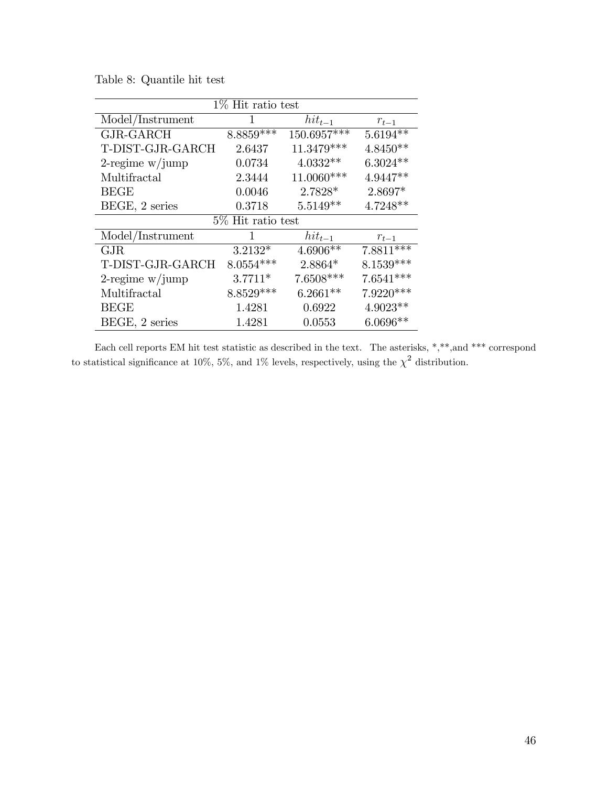| $1\%$ Hit ratio test |                      |              |             |  |  |
|----------------------|----------------------|--------------|-------------|--|--|
| Model/Instrument     | 1                    | $hit_{t-1}$  | $r_{t-1}$   |  |  |
| GJR-GARCH            | $8.8859***$          | 150.6957***  | $5.6194**$  |  |  |
| T-DIST-GJR-GARCH     | 2.6437               | $11.3479***$ | $4.8450**$  |  |  |
| $2$ -regime w/jump   | 0.0734               | $4.0332**$   | $6.3024**$  |  |  |
| Multifractal         | 2.3444               | 11.0060***   | $4.9447**$  |  |  |
| <b>BEGE</b>          | 0.0046               | 2.7828*      | 2.8697*     |  |  |
| BEGE, 2 series       | 0.3718               | $5.5149**$   | $4.7248**$  |  |  |
|                      | $5\%$ Hit ratio test |              |             |  |  |
| Model/Instrument     | 1                    | $hit_{t-1}$  | $r_{t-1}$   |  |  |
| GJR                  | $3.2132*$            | $4.6906**$   | $7.8811***$ |  |  |
| T-DIST-GJR-GARCH     | $8.0554***$          | $2.8864*$    | $8.1539***$ |  |  |
| $2$ -regime w/jump   | $3.7711*$            | 7.6508***    | $7.6541***$ |  |  |
| Multifractal         | 8.8529***            | $6.2661**$   | $7.9220***$ |  |  |
| <b>BEGE</b>          | 1.4281               | 0.6922       | 4.9023**    |  |  |
| BEGE, 2 series       | 1.4281               | 0.0553       | $6.0696**$  |  |  |

Table 8: Quantile hit test

Each cell reports EM hit test statistic as described in the text. The asterisks, \*,\*\*,and \*\*\* correspond to statistical significance at 10%, 5%, and 1% levels, respectively, using the  $\chi^2$  distribution.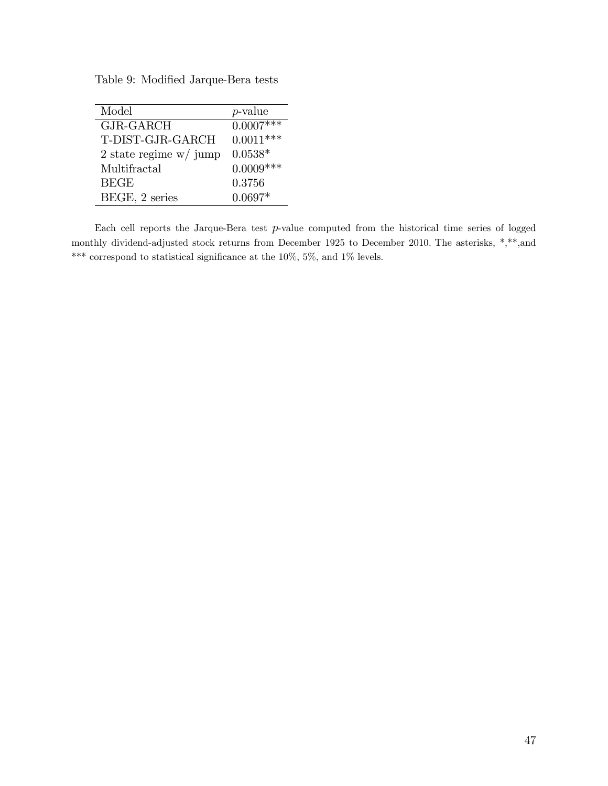Table 9: Modified Jarque-Bera tests

| Model                                  | <i>p</i> -value |
|----------------------------------------|-----------------|
| GJR-GARCH                              | $0.0007***$     |
| T-DIST-GJR-GARCH                       | $0.0011***$     |
| $2 \text{ state regime w}/\text{jump}$ | $0.0538*$       |
| Multifractal                           | $0.0009***$     |
| <b>BEGE</b>                            | 0.3756          |
| BEGE, 2 series                         | $0.0697*$       |
|                                        |                 |

Each cell reports the Jarque-Bera test p-value computed from the historical time series of logged monthly dividend-adjusted stock returns from December 1925 to December 2010. The asterisks, \*,\*\*,and  $^{***}$  correspond to statistical significance at the 10%, 5%, and 1% levels.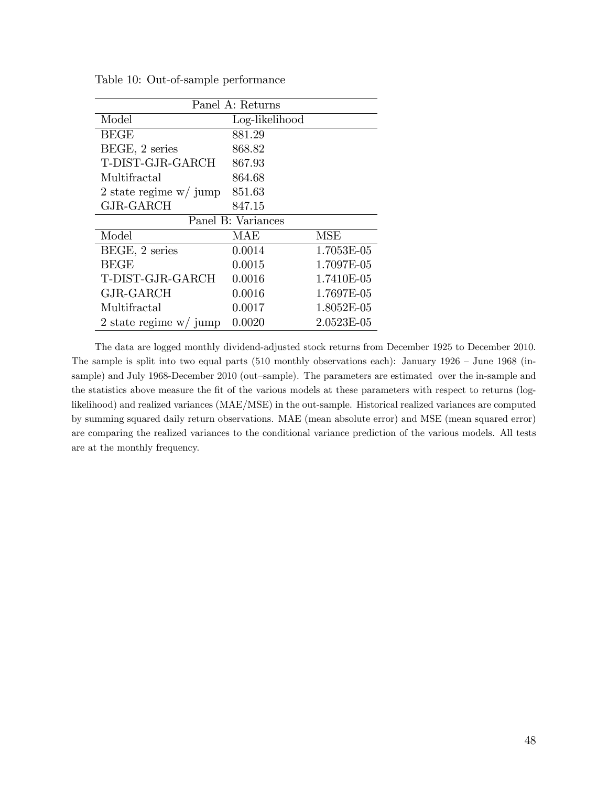| Panel A: Returns         |                    |            |  |  |
|--------------------------|--------------------|------------|--|--|
| Model                    | Log-likelihood     |            |  |  |
| <b>BEGE</b>              | 881.29             |            |  |  |
| BEGE, 2 series           | 868.82             |            |  |  |
| T-DIST-GJR-GARCH         | 867.93             |            |  |  |
| Multifractal             | 864.68             |            |  |  |
| 2 state regime $w/$ jump | 851.63             |            |  |  |
| GJR-GARCH                | 847.15             |            |  |  |
|                          | Panel B: Variances |            |  |  |
| Model                    | MAE                | <b>MSE</b> |  |  |
| BEGE, 2 series           | 0.0014             | 1.7053E-05 |  |  |
| <b>BEGE</b>              | 0.0015             | 1.7097E-05 |  |  |
| T-DIST-GJR-GARCH         | 0.0016             | 1.7410E-05 |  |  |
| GJR-GARCH                | 0.0016             | 1.7697E-05 |  |  |
| Multifractal             | 0.0017             | 1.8052E-05 |  |  |
| 2 state regime $w/$ jump | 0.0020             | 2.0523E-05 |  |  |

Table 10: Out-of-sample performance

The data are logged monthly dividend-adjusted stock returns from December 1925 to December 2010. The sample is split into two equal parts (510 monthly observations each): January  $1926 -$  June  $1968$  (insample) and July 1968-December 2010 (out-sample). The parameters are estimated over the in-sample and the statistics above measure the fit of the various models at these parameters with respect to returns (loglikelihood) and realized variances (MAE/MSE) in the out-sample. Historical realized variances are computed by summing squared daily return observations. MAE (mean absolute error) and MSE (mean squared error) are comparing the realized variances to the conditional variance prediction of the various models. All tests are at the monthly frequency.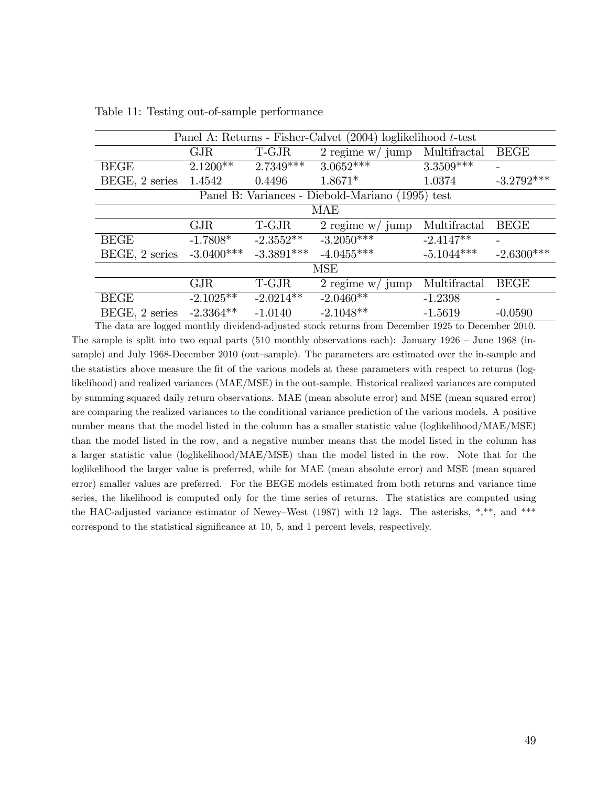| Panel A: Returns - Fisher-Calvet $(2004)$ loglikelihood t-test |              |              |                                                  |              |              |  |  |
|----------------------------------------------------------------|--------------|--------------|--------------------------------------------------|--------------|--------------|--|--|
|                                                                | GJR          | T-GJR        | $2$ regime w/ jump                               | Multifractal | <b>BEGE</b>  |  |  |
| <b>BEGE</b>                                                    | $2.1200**$   | $2.7349***$  | $3.0652***$                                      | $3.3509***$  |              |  |  |
| BEGE, 2 series                                                 | 1.4542       | 0.4496       | $1.8671*$                                        | 1.0374       | $-3.2792***$ |  |  |
|                                                                |              |              | Panel B: Variances - Diebold-Mariano (1995) test |              |              |  |  |
|                                                                |              |              | <b>MAE</b>                                       |              |              |  |  |
|                                                                | GJR          | T-GJR        | $2$ regime $\le/$ jump                           | Multifractal | <b>BEGE</b>  |  |  |
| <b>BEGE</b>                                                    | $-1.7808*$   | $-2.3552**$  | $-3.2050***$                                     | $-2.4147**$  |              |  |  |
| BEGE, 2 series                                                 | $-3.0400***$ | $-3.3891***$ | $-4.0455***$                                     | $-5.1044***$ | $-2.6300***$ |  |  |
|                                                                |              |              | <b>MSE</b>                                       |              |              |  |  |
|                                                                | GJR          | T-GJR        | 2 regime $w/$ jump                               | Multifractal | <b>BEGE</b>  |  |  |
| <b>BEGE</b>                                                    | $-2.1025**$  | $-2.0214**$  | $-2.0460**$                                      | $-1.2398$    | -            |  |  |
| BEGE, 2 series                                                 | $-2.3364**$  | $-1.0140$    | $-2.1048**$                                      | $-1.5619$    | $-0.0590$    |  |  |

Table 11: Testing out-of-sample performance

The data are logged monthly dividend-adjusted stock returns from December 1925 to December 2010. The sample is split into two equal parts (510 monthly observations each): January  $1926 - \text{June } 1968$  (insample) and July 1968-December 2010 (out-sample). The parameters are estimated over the in-sample and the statistics above measure the Öt of the various models at these parameters with respect to returns (loglikelihood) and realized variances (MAE/MSE) in the out-sample. Historical realized variances are computed by summing squared daily return observations. MAE (mean absolute error) and MSE (mean squared error) are comparing the realized variances to the conditional variance prediction of the various models. A positive number means that the model listed in the column has a smaller statistic value (loglikelihood/MAE/MSE) than the model listed in the row, and a negative number means that the model listed in the column has a larger statistic value (loglikelihood/MAE/MSE) than the model listed in the row. Note that for the loglikelihood the larger value is preferred, while for MAE (mean absolute error) and MSE (mean squared error) smaller values are preferred. For the BEGE models estimated from both returns and variance time series, the likelihood is computed only for the time series of returns. The statistics are computed using the HAC-adjusted variance estimator of Newey–West (1987) with 12 lags. The asterisks, \*,\*\*, and \*\*\* correspond to the statistical significance at 10, 5, and 1 percent levels, respectively.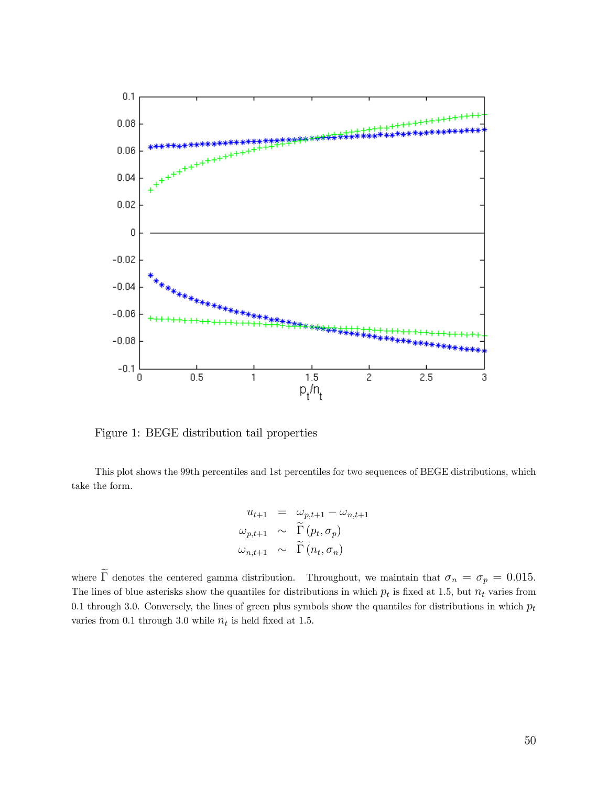

Figure 1: BEGE distribution tail properties

This plot shows the 99th percentiles and 1st percentiles for two sequences of BEGE distributions, which take the form.

$$
u_{t+1} = \omega_{p,t+1} - \omega_{n,t+1}
$$
  

$$
\omega_{p,t+1} \sim \widetilde{\Gamma}(p_t, \sigma_p)
$$
  

$$
\omega_{n,t+1} \sim \widetilde{\Gamma}(n_t, \sigma_n)
$$

where  $\tilde{\Gamma}$  denotes the centered gamma distribution. Throughout, we maintain that  $\sigma_n = \sigma_p = 0.015$ . The lines of blue asterisks show the quantiles for distributions in which  $p_t$  is fixed at 1.5, but  $n_t$  varies from 0.1 through 3.0. Conversely, the lines of green plus symbols show the quantiles for distributions in which  $p_t$ varies from 0.1 through 3.0 while  $n_t$  is held fixed at 1.5.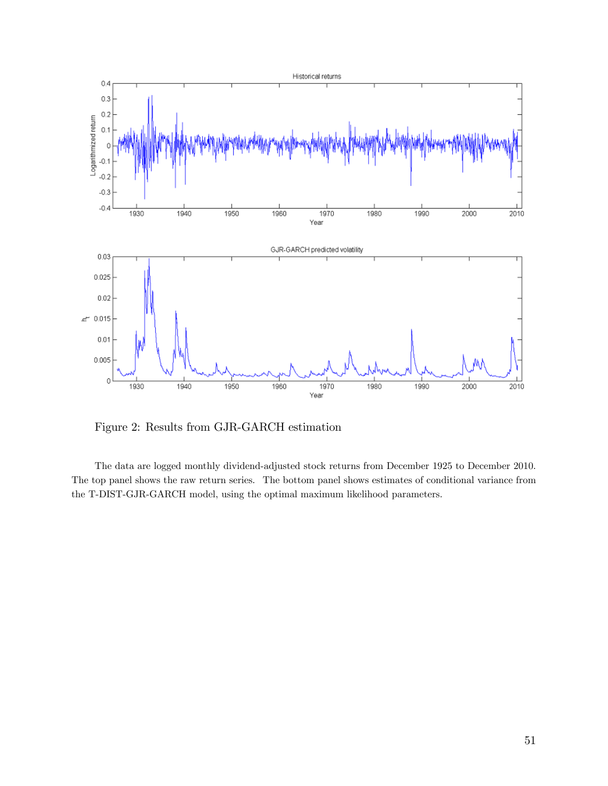

Figure 2: Results from GJR-GARCH estimation

The data are logged monthly dividend-adjusted stock returns from December 1925 to December 2010. The top panel shows the raw return series. The bottom panel shows estimates of conditional variance from the T-DIST-GJR-GARCH model, using the optimal maximum likelihood parameters.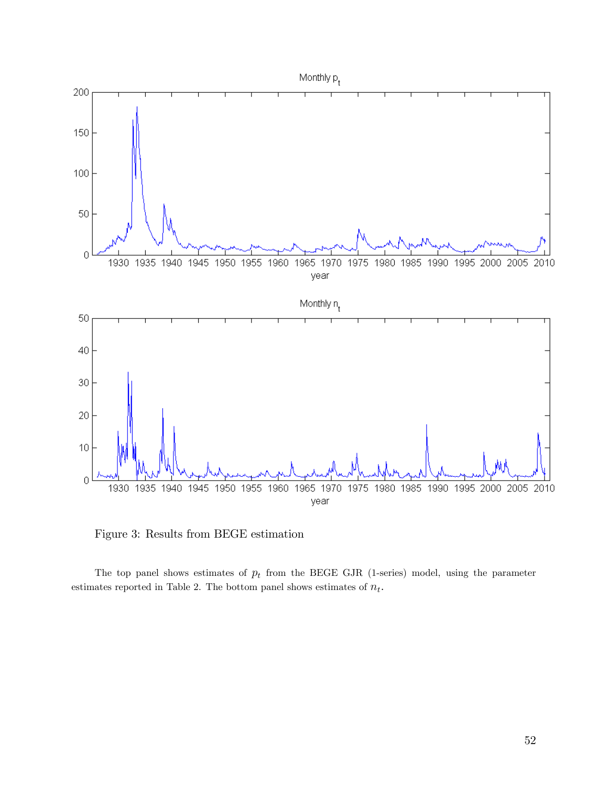

Figure 3: Results from BEGE estimation

The top panel shows estimates of  $p_t$  from the BEGE GJR (1-series) model, using the parameter estimates reported in Table 2. The bottom panel shows estimates of  $n_t$ .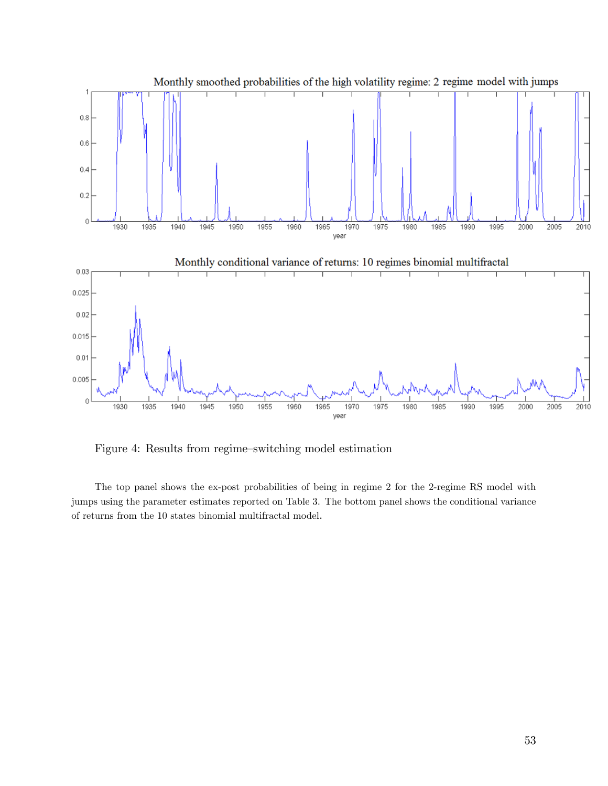

Figure 4: Results from regime-switching model estimation

The top panel shows the ex-post probabilities of being in regime 2 for the 2-regime RS model with jumps using the parameter estimates reported on Table 3. The bottom panel shows the conditional variance of returns from the 10 states binomial multifractal model.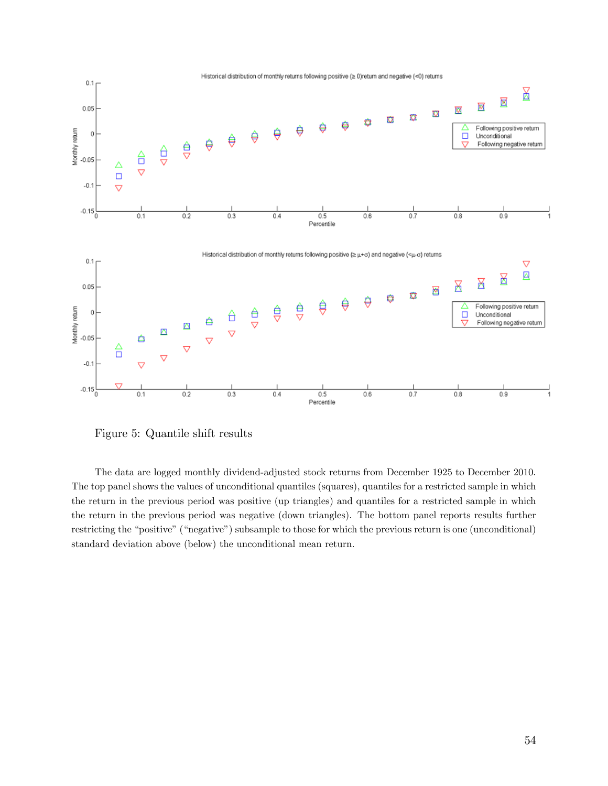

Figure 5: Quantile shift results

The data are logged monthly dividend-adjusted stock returns from December 1925 to December 2010. The top panel shows the values of unconditional quantiles (squares), quantiles for a restricted sample in which the return in the previous period was positive (up triangles) and quantiles for a restricted sample in which the return in the previous period was negative (down triangles). The bottom panel reports results further restricting the "positive" ("negative") subsample to those for which the previous return is one (unconditional) standard deviation above (below) the unconditional mean return.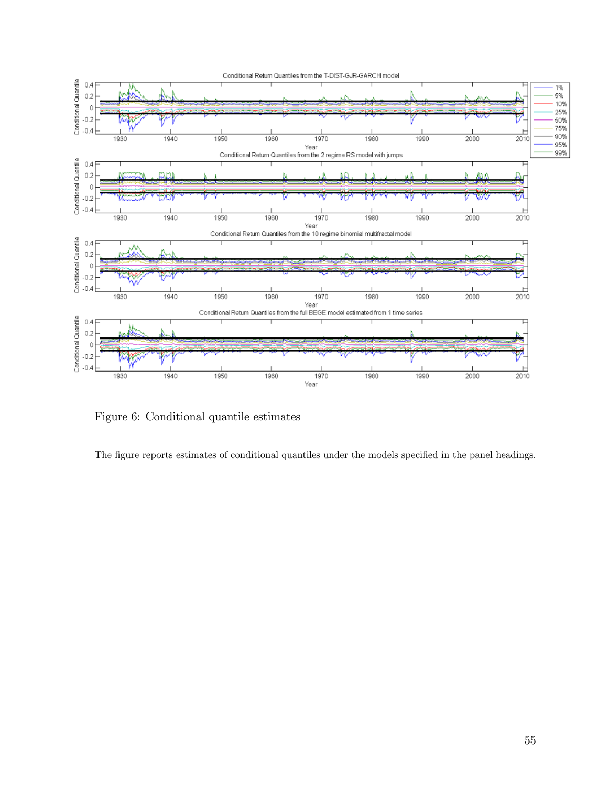

Figure 6: Conditional quantile estimates

The figure reports estimates of conditional quantiles under the models specified in the panel headings.